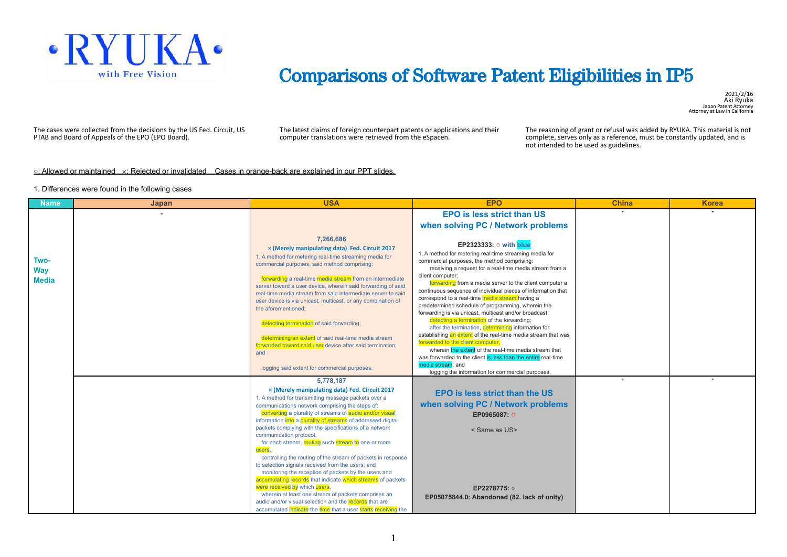

### Comparisons of Software Patent Eligibilities in IP5

2021/2/16 Aki Ryuka Japan Patent Attorney Attorney at Law in California

The cases were collected from the decisions by the US Fed. Circuit, US PTAB and Board of Appeals of the EPO (EPO Board).

The latest claims of foreign counterpart patents or applications and their computer translations were retrieved from the eSpacen.

The reasoning of grant or refusal was added by RYUKA. This material is not complete, serves only as a reference, must be constantly updated, and is not intended to be used as guidelines.

#### **○**: Allowed or maintained ×: Rejected or invalidated Cases in orange-back are explained in our PPT slides.

#### 1. Differences were found in the following cases

| <b>Name</b>                        | Japan | <b>USA</b>                                                                                                                                                                                                                                                                                                                                                                                                                                                                                                                                                                                                                                                                                                                                                                                                                                                                                                             | <b>EPO</b>                                                                                                                                                                                                                                                                                                                                                                                                                                                                                                                                                                                                                                                                                                                                                                                                                                                            | <b>China</b> | <b>Korea</b> |
|------------------------------------|-------|------------------------------------------------------------------------------------------------------------------------------------------------------------------------------------------------------------------------------------------------------------------------------------------------------------------------------------------------------------------------------------------------------------------------------------------------------------------------------------------------------------------------------------------------------------------------------------------------------------------------------------------------------------------------------------------------------------------------------------------------------------------------------------------------------------------------------------------------------------------------------------------------------------------------|-----------------------------------------------------------------------------------------------------------------------------------------------------------------------------------------------------------------------------------------------------------------------------------------------------------------------------------------------------------------------------------------------------------------------------------------------------------------------------------------------------------------------------------------------------------------------------------------------------------------------------------------------------------------------------------------------------------------------------------------------------------------------------------------------------------------------------------------------------------------------|--------------|--------------|
|                                    |       |                                                                                                                                                                                                                                                                                                                                                                                                                                                                                                                                                                                                                                                                                                                                                                                                                                                                                                                        | <b>EPO is less strict than US</b>                                                                                                                                                                                                                                                                                                                                                                                                                                                                                                                                                                                                                                                                                                                                                                                                                                     |              |              |
|                                    |       |                                                                                                                                                                                                                                                                                                                                                                                                                                                                                                                                                                                                                                                                                                                                                                                                                                                                                                                        | when solving PC / Network problems                                                                                                                                                                                                                                                                                                                                                                                                                                                                                                                                                                                                                                                                                                                                                                                                                                    |              |              |
|                                    |       |                                                                                                                                                                                                                                                                                                                                                                                                                                                                                                                                                                                                                                                                                                                                                                                                                                                                                                                        |                                                                                                                                                                                                                                                                                                                                                                                                                                                                                                                                                                                                                                                                                                                                                                                                                                                                       |              |              |
| Two-<br><b>Way</b><br><b>Media</b> |       | 7,266,686<br>x (Merely manipulating data) Fed. Circuit 2017<br>1. A method for metering real-time streaming media for<br>commercial purposes, said method comprising:<br>forwarding a real-time media stream from an intermediate<br>server toward a user device, wherein said forwarding of said<br>real-time media stream from said intermediate server to said<br>user device is via unicast, multicast, or any combination of<br>the aforementioned:<br>detecting termination of said forwarding;<br>determining an extent of said real-time media stream<br>forwarded toward said user device after said termination;<br>and<br>logging said extent for commercial purposes.                                                                                                                                                                                                                                      | EP2323333: ○ with blue<br>1. A method for metering real-time streaming media for<br>commercial purposes, the method comprising:<br>receiving a request for a real-time media stream from a<br>client computer;<br>forwarding from a media server to the client computer a<br>continuous sequence of individual pieces of information that<br>correspond to a real-time media stream having a<br>predetermined schedule of programming, wherein the<br>forwarding is via unicast, multicast and/or broadcast;<br>detecting a termination of the forwarding;<br>after the termination, determining information for<br>establishing an extent of the real-time media stream that was<br>forwarded to the client computer.<br>wherein the extent of the real-time media stream that<br>was forwarded to the client is less than the entire real-time<br>media stream: and |              |              |
|                                    |       |                                                                                                                                                                                                                                                                                                                                                                                                                                                                                                                                                                                                                                                                                                                                                                                                                                                                                                                        | logging the information for commercial purposes.                                                                                                                                                                                                                                                                                                                                                                                                                                                                                                                                                                                                                                                                                                                                                                                                                      |              |              |
|                                    |       | 5.778.187<br>x (Merely manipulating data) Fed. Circuit 2017<br>1. A method for transmitting message packets over a<br>communications network comprising the steps of:<br>converting a plurality of streams of audio and/or visual<br>information into a plurality of streams of addressed digital<br>packets complying with the specifications of a network<br>communication protocol,<br>for each stream, routing such stream to one or more<br>users<br>controlling the routing of the stream of packets in response<br>to selection signals received from the users, and<br>monitoring the reception of packets by the users and<br>accumulating records that indicate which streams of packets<br>were received by which users.<br>wherein at least one stream of packets comprises an<br>audio and/or visual selection and the records that are<br>accumulated indicate the time that a user starts receiving the | <b>EPO is less strict than the US</b><br>when solving PC / Network problems<br>EP0965087: O<br>< Same as US><br>EP2278775: o<br>EP05075844.0: Abandoned (82. lack of unity)                                                                                                                                                                                                                                                                                                                                                                                                                                                                                                                                                                                                                                                                                           |              |              |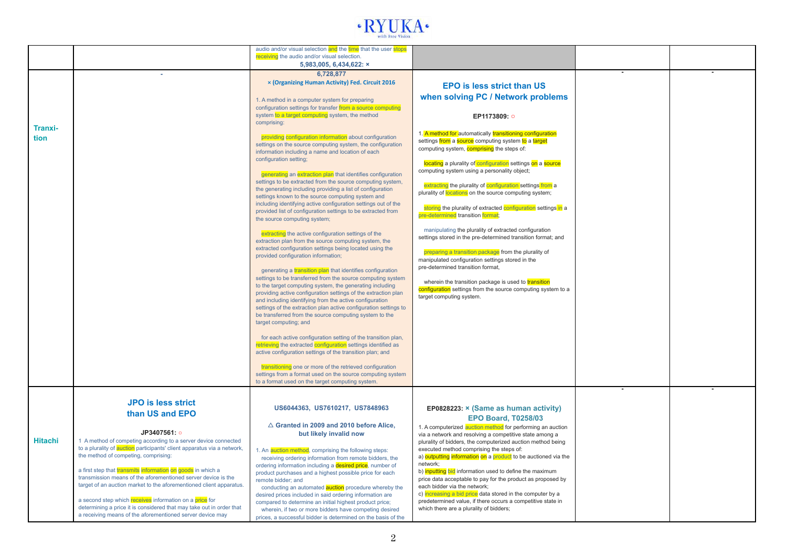

|                |                                                                                                                                                                                                                                                                                                                                                                                                                                                                                                                                                                                                                                                                 | audio and/or visual selection and the time that the user stops<br>receiving the audio and/or visual selection.                                                                                                                                                                                                                                                                                                                                                                                                                                                                                                                                                                                                                                                                                                                                                                                                                                                                                                                                                                                                                                                                                                                                                                                                         |                                                                                                                                                                                                                                                                                                                                                                                                                                                                                                                                                                                                                                                                                                                                                                                                                                                                                                                                                 |  |
|----------------|-----------------------------------------------------------------------------------------------------------------------------------------------------------------------------------------------------------------------------------------------------------------------------------------------------------------------------------------------------------------------------------------------------------------------------------------------------------------------------------------------------------------------------------------------------------------------------------------------------------------------------------------------------------------|------------------------------------------------------------------------------------------------------------------------------------------------------------------------------------------------------------------------------------------------------------------------------------------------------------------------------------------------------------------------------------------------------------------------------------------------------------------------------------------------------------------------------------------------------------------------------------------------------------------------------------------------------------------------------------------------------------------------------------------------------------------------------------------------------------------------------------------------------------------------------------------------------------------------------------------------------------------------------------------------------------------------------------------------------------------------------------------------------------------------------------------------------------------------------------------------------------------------------------------------------------------------------------------------------------------------|-------------------------------------------------------------------------------------------------------------------------------------------------------------------------------------------------------------------------------------------------------------------------------------------------------------------------------------------------------------------------------------------------------------------------------------------------------------------------------------------------------------------------------------------------------------------------------------------------------------------------------------------------------------------------------------------------------------------------------------------------------------------------------------------------------------------------------------------------------------------------------------------------------------------------------------------------|--|
|                |                                                                                                                                                                                                                                                                                                                                                                                                                                                                                                                                                                                                                                                                 | 5,983,005, 6,434,622: ×                                                                                                                                                                                                                                                                                                                                                                                                                                                                                                                                                                                                                                                                                                                                                                                                                                                                                                                                                                                                                                                                                                                                                                                                                                                                                                |                                                                                                                                                                                                                                                                                                                                                                                                                                                                                                                                                                                                                                                                                                                                                                                                                                                                                                                                                 |  |
|                |                                                                                                                                                                                                                                                                                                                                                                                                                                                                                                                                                                                                                                                                 | 6.728.877<br>x (Organizing Human Activity) Fed. Circuit 2016                                                                                                                                                                                                                                                                                                                                                                                                                                                                                                                                                                                                                                                                                                                                                                                                                                                                                                                                                                                                                                                                                                                                                                                                                                                           | <b>EPO is less strict than US</b>                                                                                                                                                                                                                                                                                                                                                                                                                                                                                                                                                                                                                                                                                                                                                                                                                                                                                                               |  |
|                |                                                                                                                                                                                                                                                                                                                                                                                                                                                                                                                                                                                                                                                                 | 1. A method in a computer system for preparing<br>configuration settings for transfer from a source computing                                                                                                                                                                                                                                                                                                                                                                                                                                                                                                                                                                                                                                                                                                                                                                                                                                                                                                                                                                                                                                                                                                                                                                                                          | when solving PC / Network problems                                                                                                                                                                                                                                                                                                                                                                                                                                                                                                                                                                                                                                                                                                                                                                                                                                                                                                              |  |
| Tranxi-        |                                                                                                                                                                                                                                                                                                                                                                                                                                                                                                                                                                                                                                                                 | system to a target computing system, the method<br>comprising:                                                                                                                                                                                                                                                                                                                                                                                                                                                                                                                                                                                                                                                                                                                                                                                                                                                                                                                                                                                                                                                                                                                                                                                                                                                         | EP1173809: 0                                                                                                                                                                                                                                                                                                                                                                                                                                                                                                                                                                                                                                                                                                                                                                                                                                                                                                                                    |  |
| tion           |                                                                                                                                                                                                                                                                                                                                                                                                                                                                                                                                                                                                                                                                 | providing configuration information about configuration<br>settings on the source computing system, the configuration<br>information including a name and location of each<br>configuration setting;<br>generating an extraction plan that identifies configuration<br>settings to be extracted from the source computing system,<br>the generating including providing a list of configuration<br>settings known to the source computing system and<br>including identifying active configuration settings out of the<br>provided list of configuration settings to be extracted from<br>the source computing system;<br>extracting the active configuration settings of the<br>extraction plan from the source computing system, the<br>extracted configuration settings being located using the<br>provided configuration information;<br>generating a transition plan that identifies configuration<br>settings to be transferred from the source computing system<br>to the target computing system, the generating including<br>providing active configuration settings of the extraction plan<br>and including identifying from the active configuration<br>settings of the extraction plan active configuration settings to<br>be transferred from the source computing system to the<br>target computing; and | 1. A method for automatically transitioning configuration<br>settings from a source computing system to a target<br>computing system, <b>comprising</b> the steps of:<br>locating a plurality of configuration settings on a source<br>computing system using a personality object;<br>extracting the plurality of configuration settings from a<br>plurality of locations on the source computing system;<br>storing the plurality of extracted configuration settings in a<br>pre-determined transition format;<br>manipulating the plurality of extracted configuration<br>settings stored in the pre-determined transition format; and<br>preparing a transition package from the plurality of<br>manipulated configuration settings stored in the<br>pre-determined transition format,<br>wherein the transition package is used to transition<br>configuration settings from the source computing system to a<br>target computing system. |  |
|                |                                                                                                                                                                                                                                                                                                                                                                                                                                                                                                                                                                                                                                                                 | for each active configuration setting of the transition plan,<br>retrieving the extracted configuration settings identified as<br>active configuration settings of the transition plan; and                                                                                                                                                                                                                                                                                                                                                                                                                                                                                                                                                                                                                                                                                                                                                                                                                                                                                                                                                                                                                                                                                                                            |                                                                                                                                                                                                                                                                                                                                                                                                                                                                                                                                                                                                                                                                                                                                                                                                                                                                                                                                                 |  |
|                |                                                                                                                                                                                                                                                                                                                                                                                                                                                                                                                                                                                                                                                                 | transitioning one or more of the retrieved configuration<br>settings from a format used on the source computing system<br>to a format used on the target computing system.                                                                                                                                                                                                                                                                                                                                                                                                                                                                                                                                                                                                                                                                                                                                                                                                                                                                                                                                                                                                                                                                                                                                             |                                                                                                                                                                                                                                                                                                                                                                                                                                                                                                                                                                                                                                                                                                                                                                                                                                                                                                                                                 |  |
| <b>Hitachi</b> | <b>JPO</b> is less strict<br>than US and EPO<br>JP3407561: o<br>1 A method of competing according to a server device connected<br>to a plurality of <b>auction</b> participants' client apparatus via a network,<br>the method of competing, comprising:<br>a first step that transmits information on goods in which a<br>transmission means of the aforementioned server device is the<br>target of an auction market to the aforementioned client apparatus.<br>a second step which receives information on a price for<br>determining a price it is considered that may take out in order that<br>a receiving means of the aforementioned server device may | US6044363, US7610217, US7848963<br>$\triangle$ Granted in 2009 and 2010 before Alice,<br>but likely invalid now<br>1. An auction method, comprising the following steps:<br>receiving ordering information from remote bidders, the<br>ordering information including a desired price, number of<br>product purchases and a highest possible price for each<br>remote bidder; and<br>conducting an automated <b>auction</b> procedure whereby the<br>desired prices included in said ordering information are<br>compared to determine an initial highest product price;<br>wherein, if two or more bidders have competing desired                                                                                                                                                                                                                                                                                                                                                                                                                                                                                                                                                                                                                                                                                     | EP0828223: × (Same as human activity)<br><b>EPO Board, T0258/03</b><br>1. A computerized auction method for performing an auction<br>via a network and resolving a competitive state among a<br>plurality of bidders, the computerized auction method being<br>executed method comprising the steps of:<br>a) outputting information on a product to be auctioned via the<br>network;<br>b) inputting bid information used to define the maximum<br>price data acceptable to pay for the product as proposed by<br>each bidder via the network;<br>c) increasing a bid price data stored in the computer by a<br>predetermined value, if there occurs a competitive state in<br>which there are a plurality of bidders;                                                                                                                                                                                                                         |  |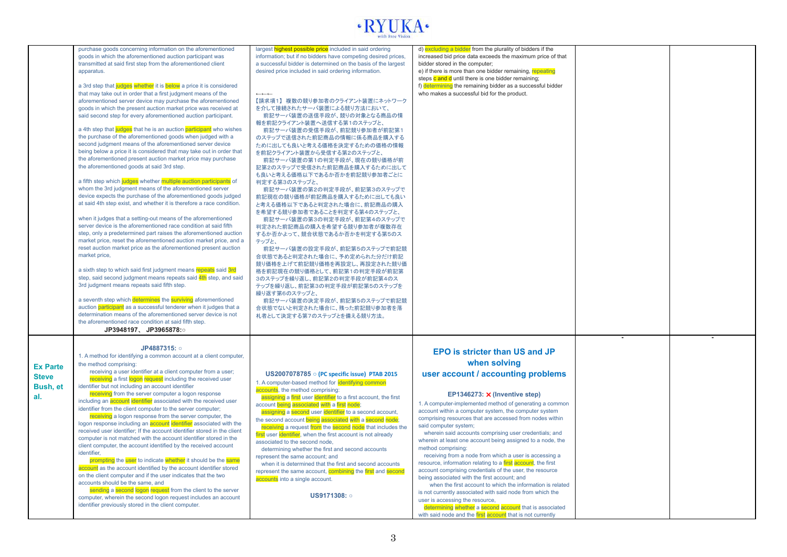## $\cdot$  RYUKA $\cdot$

|                                             | purchase goods concerning information on the aforementioned<br>goods in which the aforementioned auction participant was<br>transmitted at said first step from the aforementioned client<br>apparatus.<br>a 3rd step that judges whether it is below a price it is considered<br>that may take out in order that a first judgment means of the<br>aforementioned server device may purchase the aforementioned<br>goods in which the present auction market price was received at<br>said second step for every aforementioned auction participant.<br>a 4th step that judges that he is an auction participant who wishes<br>the purchase of the aforementioned goods when judged with a<br>second judgment means of the aforementioned server device<br>being below a price it is considered that may take out in order that<br>the aforementioned present auction market price may purchase<br>the aforementioned goods at said 3rd step.<br>a fifth step which judges whether multiple auction participants of<br>whom the 3rd judgment means of the aforementioned server<br>device expects the purchase of the aforementioned goods judged<br>at said 4th step exist, and whether it is therefore a race condition.<br>when it judges that a setting-out means of the aforementioned<br>server device is the aforementioned race condition at said fifth<br>step, only a predetermined part raises the aforementioned auction<br>market price, reset the aforementioned auction market price, and a<br>reset auction market price as the aforementioned present auction<br>market price,<br>a sixth step to which said first judgment means repeats said 3rd<br>step, said second judgment means repeats said 4th step, and said<br>3rd judgment means repeats said fifth step.<br>a seventh step which determines the surviving aforementioned<br>auction participant as a successful tenderer when it judges that a<br>determination means of the aforementioned server device is not<br>the aforementioned race condition at said fifth step.<br>JP3948197、JP3965878: | largest highest possible price included in said ordering<br>information; but if no bidders have competing desired prices,<br>a successful bidder is determined on the basis of the largest<br>desired price included in said ordering information.<br>$\leftarrow$<br>【請求項1】複数の競り参加者のクライアント装置にネットワーク<br>を介して接続されたサーバ装置による競り方法において、<br>前記サーバ装置の送信手段が、競りの対象となる商品の情<br>報を前記クライアント装置へ送信する第1のステップと、<br>前記サーバ装置の受信手段が、前記競り参加者が前記第<br>のステップで送信された前記商品の情報に係る商品を購入する<br>ために出しても良いと考える価格を決定するための価格の情報<br>を前記クライアント装置から受信する第2のステップと、<br>前記サーバ装置の第1の判定手段が、現在の競り価格が前<br>記第2のステップで受信された前記商品を購入するために出して<br>も良いと考える価格以下であるか否かを前記競り参加者ごとに<br>判定する第3のステップと、<br>前記サーバ装置の第2の判定手段が、前記第3のステップで<br>前記現在の競り価格が前記商品を購入するために出しても良い<br>と考える価格以下であると判定された場合に、前記商品の購入<br>を希望する競り参加者であることを判定する第4のステップと、<br>前記サーバ装置の第3の判定手段が、前記第4のステップで<br>判定された前記商品の購入を希望する競り参加者が複数存在<br>するか否かよって、競合状態であるか否かを判定する第5のス<br>テップと、<br>前記サーバ装置の設定手段が、前記第5のステップで前記競<br>合状態であると判定された場合に、予め定められた分だけ前記<br>競り価格を上げて前記競り価格を再設定し、再設定された競り価<br>格を前記現在の競り価格として、前記第1の判定手段が前記第<br>3のステップを繰り返し、前記第2の判定手段が前記第4のス<br>テップを繰り返し、前記第3の判定手段が前記第5のステップを<br>繰り返す第6のステップと、<br>前記サーバ装置の決定手段が、前記第5のステップで前記競<br>合状態でないと判定された場合に、残った前記競り参加者を落<br>札者として決定する第7のステップとを備える競り方法。 | d) excluding a bidder from the plurality of bidders if the<br>increased bid price data exceeds the maximum price of that<br>bidder stored in the computer;<br>e) if there is more than one bidder remaining, repeating<br>steps c and d until there is one bidder remaining;<br>f) determining the remaining bidder as a successful bidder<br>who makes a successful bid for the product.                                                                                                                                                                                                                                                                                                                                                                                                                                                                                                                                                                                                                        |  |
|---------------------------------------------|---------------------------------------------------------------------------------------------------------------------------------------------------------------------------------------------------------------------------------------------------------------------------------------------------------------------------------------------------------------------------------------------------------------------------------------------------------------------------------------------------------------------------------------------------------------------------------------------------------------------------------------------------------------------------------------------------------------------------------------------------------------------------------------------------------------------------------------------------------------------------------------------------------------------------------------------------------------------------------------------------------------------------------------------------------------------------------------------------------------------------------------------------------------------------------------------------------------------------------------------------------------------------------------------------------------------------------------------------------------------------------------------------------------------------------------------------------------------------------------------------------------------------------------------------------------------------------------------------------------------------------------------------------------------------------------------------------------------------------------------------------------------------------------------------------------------------------------------------------------------------------------------------------------------------------------------------------------------------------------------------------------------------------------------------------------------------------|-------------------------------------------------------------------------------------------------------------------------------------------------------------------------------------------------------------------------------------------------------------------------------------------------------------------------------------------------------------------------------------------------------------------------------------------------------------------------------------------------------------------------------------------------------------------------------------------------------------------------------------------------------------------------------------------------------------------------------------------------------------------------------------------------------------------------------------------------------------------------------------------------------------------------------------------------------------------------------------------------------------------------------------------------------------------------------------------------------------------------------------------------------------------------------------------------|------------------------------------------------------------------------------------------------------------------------------------------------------------------------------------------------------------------------------------------------------------------------------------------------------------------------------------------------------------------------------------------------------------------------------------------------------------------------------------------------------------------------------------------------------------------------------------------------------------------------------------------------------------------------------------------------------------------------------------------------------------------------------------------------------------------------------------------------------------------------------------------------------------------------------------------------------------------------------------------------------------------|--|
| <b>Ex Parte</b><br>Steve<br>Bush, et<br>al. | JP4887315: o<br>1. A method for identifying a common account at a client computer,<br>the method comprising:<br>receiving a user identifier at a client computer from a user;<br>receiving a first logon request including the received user<br>identifier but not including an account identifier<br>receiving from the server computer a logon response<br>including an <b>account identifier</b> associated with the received user<br>identifier from the client computer to the server computer;<br>receiving a logon response from the server computer, the<br>logon response including an <b>account</b> identifier associated with the<br>received user identifier: If the account identifier stored in the client<br>computer is not matched with the account identifier stored in the<br>client computer, the account identified by the received account<br>identifier.<br>prompting the user to indicate whether it should be the same<br>account as the account identified by the account identifier stored<br>on the client computer and if the user indicates that the two<br>accounts should be the same, and<br>sending a second logon request from the client to the server<br>computer, wherein the second logon request includes an account<br>identifier previously stored in the client computer.                                                                                                                                                                                                                                                                                                                                                                                                                                                                                                                                                                                                                                                                                                                                                           | US2007078785 o (PC specific issue) PTAB 2015<br>1. A computer-based method for identifying common<br>accounts, the method comprising:<br>assigning a first user identifier to a first account, the first<br>account being associated with a first node;<br>assigning a second user identifier to a second account,<br>the second account being associated with a second node;<br>receiving a request from the second node that includes the<br>first user identifier, when the first account is not already<br>associated to the second node,<br>determining whether the first and second accounts<br>represent the same account; and<br>when it is determined that the first and second accounts<br>represent the same account, combining the first and second<br>accounts into a single account.<br><b>US9171308: ○</b>                                                                                                                                                                                                                                                                                                                                                                       | <b>EPO</b> is stricter than US and JP<br>when solving<br>user account / accounting problems<br>EP1346273: X (Inventive step)<br>1. A computer-implemented method of generating a common<br>account within a computer system, the computer system<br>comprising resources that are accessed from nodes within<br>said computer system;<br>wherein said accounts comprising user credentials; and<br>wherein at least one account being assigned to a node, the<br>method comprising:<br>receiving from a node from which a user is accessing a<br>resource, information relating to a first account, the first<br>account comprising credentials of the user, the resource<br>being associated with the first account; and<br>when the first account to which the information is related<br>is not currently associated with said node from which the<br>user is accessing the resource,<br>determining whether a second account that is associated<br>with said node and the first account that is not currently |  |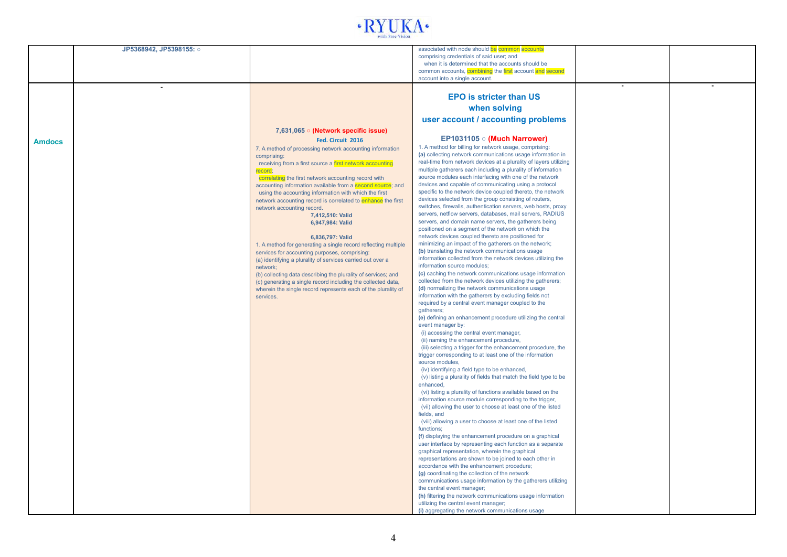

|               | JP5368942, JP5398155: o |                                                                            | associated with node should be common accounts                                                                          |  |
|---------------|-------------------------|----------------------------------------------------------------------------|-------------------------------------------------------------------------------------------------------------------------|--|
|               |                         |                                                                            | comprising credentials of said user; and                                                                                |  |
|               |                         |                                                                            | when it is determined that the accounts should be                                                                       |  |
|               |                         |                                                                            | common accounts, combining the first account and second<br>account into a single account.                               |  |
|               |                         |                                                                            |                                                                                                                         |  |
|               |                         |                                                                            |                                                                                                                         |  |
|               |                         |                                                                            | <b>EPO is stricter than US</b>                                                                                          |  |
|               |                         |                                                                            | when solving                                                                                                            |  |
|               |                         |                                                                            | user account / accounting problems                                                                                      |  |
|               |                         |                                                                            |                                                                                                                         |  |
|               |                         | 7,631,065 o (Network specific issue)                                       |                                                                                                                         |  |
| <b>Amdocs</b> |                         | Fed. Circuit 2016                                                          | EP1031105 $\circ$ (Much Narrower)                                                                                       |  |
|               |                         | 7. A method of processing network accounting information                   | 1. A method for billing for network usage, comprising:<br>(a) collecting network communications usage information in    |  |
|               |                         | comprising:<br>receiving from a first source a first network accounting    | real-time from network devices at a plurality of layers utilizing                                                       |  |
|               |                         | record:                                                                    | multiple gatherers each including a plurality of information                                                            |  |
|               |                         | correlating the first network accounting record with                       | source modules each interfacing with one of the network                                                                 |  |
|               |                         | accounting information available from a second source; and                 | devices and capable of communicating using a protocol                                                                   |  |
|               |                         | using the accounting information with which the first                      | specific to the network device coupled thereto, the network                                                             |  |
|               |                         | network accounting record is correlated to enhance the first               | devices selected from the group consisting of routers,                                                                  |  |
|               |                         | network accounting record.                                                 | switches, firewalls, authentication servers, web hosts, proxy                                                           |  |
|               |                         | 7,412,510: Valid                                                           | servers, netflow servers, databases, mail servers, RADIUS<br>servers, and domain name servers, the gatherers being      |  |
|               |                         | 6,947,984: Valid                                                           | positioned on a segment of the network on which the                                                                     |  |
|               |                         | 6.836.797: Valid                                                           | network devices coupled thereto are positioned for                                                                      |  |
|               |                         | 1. A method for generating a single record reflecting multiple             | minimizing an impact of the gatherers on the network;                                                                   |  |
|               |                         | services for accounting purposes, comprising:                              | (b) translating the network communications usage                                                                        |  |
|               |                         | (a) identifying a plurality of services carried out over a                 | information collected from the network devices utilizing the                                                            |  |
|               |                         | network:                                                                   | information source modules;                                                                                             |  |
|               |                         | (b) collecting data describing the plurality of services; and              | (c) caching the network communications usage information                                                                |  |
|               |                         | (c) generating a single record including the collected data,               | collected from the network devices utilizing the gatherers;<br>(d) normalizing the network communications usage         |  |
|               |                         | wherein the single record represents each of the plurality of<br>services. | information with the gatherers by excluding fields not                                                                  |  |
|               |                         |                                                                            | required by a central event manager coupled to the                                                                      |  |
|               |                         |                                                                            | gatherers;                                                                                                              |  |
|               |                         |                                                                            | (e) defining an enhancement procedure utilizing the central                                                             |  |
|               |                         |                                                                            | event manager by:                                                                                                       |  |
|               |                         |                                                                            | (i) accessing the central event manager,                                                                                |  |
|               |                         |                                                                            | (ii) naming the enhancement procedure,<br>(iii) selecting a trigger for the enhancement procedure, the                  |  |
|               |                         |                                                                            | trigger corresponding to at least one of the information                                                                |  |
|               |                         |                                                                            | source modules,                                                                                                         |  |
|               |                         |                                                                            | (iv) identifying a field type to be enhanced,                                                                           |  |
|               |                         |                                                                            | (v) listing a plurality of fields that match the field type to be                                                       |  |
|               |                         |                                                                            | enhanced,                                                                                                               |  |
|               |                         |                                                                            | (vi) listing a plurality of functions available based on the<br>information source module corresponding to the trigger, |  |
|               |                         |                                                                            | (vii) allowing the user to choose at least one of the listed                                                            |  |
|               |                         |                                                                            | fields, and                                                                                                             |  |
|               |                         |                                                                            | (viii) allowing a user to choose at least one of the listed                                                             |  |
|               |                         |                                                                            | functions:                                                                                                              |  |
|               |                         |                                                                            | (f) displaying the enhancement procedure on a graphical                                                                 |  |
|               |                         |                                                                            | user interface by representing each function as a separate                                                              |  |
|               |                         |                                                                            | graphical representation, wherein the graphical<br>representations are shown to be joined to each other in              |  |
|               |                         |                                                                            | accordance with the enhancement procedure;                                                                              |  |
|               |                         |                                                                            | (g) coordinating the collection of the network                                                                          |  |
|               |                         |                                                                            | communications usage information by the gatherers utilizing                                                             |  |
|               |                         |                                                                            | the central event manager;                                                                                              |  |
|               |                         |                                                                            | (h) filtering the network communications usage information                                                              |  |
|               |                         |                                                                            | utilizing the central event manager;                                                                                    |  |
|               |                         |                                                                            | (i) aggregating the network communications usage                                                                        |  |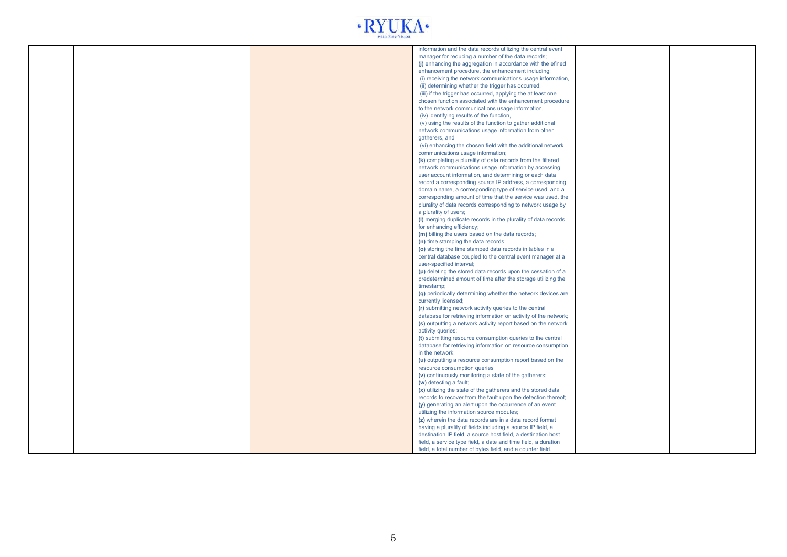

|  | information and the data records utilizing the central event    |  |
|--|-----------------------------------------------------------------|--|
|  |                                                                 |  |
|  | manager for reducing a number of the data records;              |  |
|  | (j) enhancing the aggregation in accordance with the efined     |  |
|  | enhancement procedure, the enhancement including:               |  |
|  | (i) receiving the network communications usage information,     |  |
|  | (ii) determining whether the trigger has occurred,              |  |
|  | (iii) if the trigger has occurred, applying the at least one    |  |
|  | chosen function associated with the enhancement procedure       |  |
|  |                                                                 |  |
|  | to the network communications usage information,                |  |
|  | (iv) identifying results of the function,                       |  |
|  | (v) using the results of the function to gather additional      |  |
|  | network communications usage information from other             |  |
|  | gatherers, and                                                  |  |
|  | (vi) enhancing the chosen field with the additional network     |  |
|  | communications usage information;                               |  |
|  | (k) completing a plurality of data records from the filtered    |  |
|  | network communications usage information by accessing           |  |
|  |                                                                 |  |
|  | user account information, and determining or each data          |  |
|  | record a corresponding source IP address, a corresponding       |  |
|  | domain name, a corresponding type of service used, and a        |  |
|  | corresponding amount of time that the service was used, the     |  |
|  | plurality of data records corresponding to network usage by     |  |
|  | a plurality of users;                                           |  |
|  | (I) merging duplicate records in the plurality of data records  |  |
|  | for enhancing efficiency;                                       |  |
|  | (m) billing the users based on the data records;                |  |
|  | (n) time stamping the data records;                             |  |
|  |                                                                 |  |
|  | (o) storing the time stamped data records in tables in a        |  |
|  | central database coupled to the central event manager at a      |  |
|  | user-specified interval;                                        |  |
|  | (p) deleting the stored data records upon the cessation of a    |  |
|  | predetermined amount of time after the storage utilizing the    |  |
|  | timestamp;                                                      |  |
|  | (q) periodically determining whether the network devices are    |  |
|  | currently licensed;                                             |  |
|  | (r) submitting network activity queries to the central          |  |
|  |                                                                 |  |
|  | database for retrieving information on activity of the network; |  |
|  | (s) outputting a network activity report based on the network   |  |
|  | activity queries;                                               |  |
|  | (t) submitting resource consumption queries to the central      |  |
|  | database for retrieving information on resource consumption     |  |
|  | in the network;                                                 |  |
|  | (u) outputting a resource consumption report based on the       |  |
|  | resource consumption queries                                    |  |
|  | (v) continuously monitoring a state of the gatherers;           |  |
|  | (w) detecting a fault;                                          |  |
|  |                                                                 |  |
|  | (x) utilizing the state of the gatherers and the stored data    |  |
|  | records to recover from the fault upon the detection thereof;   |  |
|  | (y) generating an alert upon the occurrence of an event         |  |
|  | utilizing the information source modules;                       |  |
|  | (z) wherein the data records are in a data record format        |  |
|  | having a plurality of fields including a source IP field, a     |  |
|  | destination IP field, a source host field, a destination host   |  |
|  | field, a service type field, a date and time field, a duration  |  |
|  | field, a total number of bytes field, and a counter field.      |  |
|  |                                                                 |  |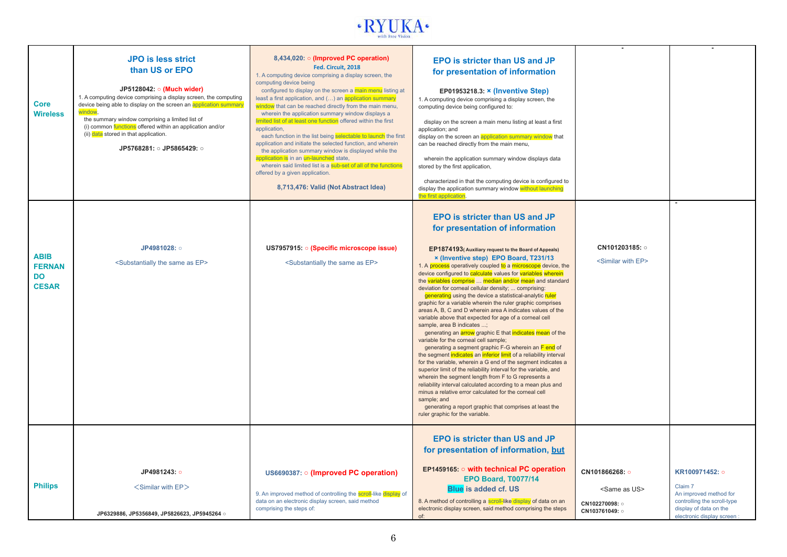

| Core<br><b>Wireless</b>                                   | <b>JPO is less strict</b><br>than US or EPO<br>JP5128042: o (Much wider)<br>1. A computing device comprising a display screen, the computing<br>device being able to display on the screen an application summary<br>window.<br>the summary window comprising a limited list of<br>(i) common functions offered within an application and/or<br>(ii) data stored in that application.<br>JP5768281: 0 JP5865429: 0 | 8,434,020: $\circ$ (Improved PC operation)<br>Fed. Circuit, 2018<br>1. A computing device comprising a display screen, the<br>computing device being<br>configured to display on the screen a main menu listing at<br>least a first application, and () an application summary<br>window that can be reached directly from the main menu,<br>wherein the application summary window displays a<br>limited list of at least one function offered within the first<br>application,<br>each function in the list being selectable to launch the first<br>application and initiate the selected function, and wherein<br>the application summary window is displayed while the<br>application is in an un-launched state,<br>wherein said limited list is a sub-set of all of the functions<br>offered by a given application.<br>8,713,476: Valid (Not Abstract Idea) | <b>EPO is stricter than US and JP</b><br>for presentation of information<br>EP01953218.3: $\times$ (Inventive Step)<br>1. A computing device comprising a display screen, the<br>computing device being configured to:<br>display on the screen a main menu listing at least a first<br>application; and<br>display on the screen an application summary window that<br>can be reached directly from the main menu,<br>wherein the application summary window displays data<br>stored by the first application,<br>characterized in that the computing device is configured to<br>display the application summary window without launching<br>the first application                                                                                                                                                                                                                                                                                                                                                                                                                                                                                                                                                                                                                                                                                                                    |                                                                 |                                                                                                              |
|-----------------------------------------------------------|--------------------------------------------------------------------------------------------------------------------------------------------------------------------------------------------------------------------------------------------------------------------------------------------------------------------------------------------------------------------------------------------------------------------|--------------------------------------------------------------------------------------------------------------------------------------------------------------------------------------------------------------------------------------------------------------------------------------------------------------------------------------------------------------------------------------------------------------------------------------------------------------------------------------------------------------------------------------------------------------------------------------------------------------------------------------------------------------------------------------------------------------------------------------------------------------------------------------------------------------------------------------------------------------------|----------------------------------------------------------------------------------------------------------------------------------------------------------------------------------------------------------------------------------------------------------------------------------------------------------------------------------------------------------------------------------------------------------------------------------------------------------------------------------------------------------------------------------------------------------------------------------------------------------------------------------------------------------------------------------------------------------------------------------------------------------------------------------------------------------------------------------------------------------------------------------------------------------------------------------------------------------------------------------------------------------------------------------------------------------------------------------------------------------------------------------------------------------------------------------------------------------------------------------------------------------------------------------------------------------------------------------------------------------------------------------------|-----------------------------------------------------------------|--------------------------------------------------------------------------------------------------------------|
| <b>ABIB</b><br><b>FERNAN</b><br><b>DO</b><br><b>CESAR</b> | JP4981028: o<br><substantially as="" ep="" same="" the=""></substantially>                                                                                                                                                                                                                                                                                                                                         | US7957915. • (Specific microscope issue)<br><substantially as="" ep="" same="" the=""></substantially>                                                                                                                                                                                                                                                                                                                                                                                                                                                                                                                                                                                                                                                                                                                                                             | <b>EPO is stricter than US and JP</b><br>for presentation of information<br>EP1874193(Auxiliary request to the Board of Appeals)<br>x (Inventive step) EPO Board, T231/13<br>1. A process operatively coupled to a microscope device, the<br>device configured to calculate values for variables wherein<br>the variables comprise  median and/or mean and standard<br>deviation for corneal cellular density;  comprising:<br>generating using the device a statistical-analytic ruler<br>graphic for a variable wherein the ruler graphic comprises<br>areas A, B, C and D wherein area A indicates values of the<br>variable above that expected for age of a corneal cell<br>sample, area B indicates ;<br>generating an <b>arrow</b> graphic E that indicates mean of the<br>variable for the corneal cell sample;<br>generating a segment graphic F-G wherein an F end of<br>the segment indicates an inferior limit of a reliability interval<br>for the variable, wherein a G end of the segment indicates a<br>superior limit of the reliability interval for the variable, and<br>wherein the segment length from F to G represents a<br>reliability interval calculated according to a mean plus and<br>minus a relative error calculated for the corneal cell<br>sample; and<br>generating a report graphic that comprises at least the<br>ruler graphic for the variable. | CN101203185: 0<br><similar ep="" with=""></similar>             |                                                                                                              |
| <b>Philips</b>                                            | JP4981243: o                                                                                                                                                                                                                                                                                                                                                                                                       | US6690387: o (Improved PC operation)                                                                                                                                                                                                                                                                                                                                                                                                                                                                                                                                                                                                                                                                                                                                                                                                                               | <b>EPO</b> is stricter than US and JP<br>for presentation of information, but<br>EP1459165: o with technical PC operation<br><b>EPO Board, T0077/14</b>                                                                                                                                                                                                                                                                                                                                                                                                                                                                                                                                                                                                                                                                                                                                                                                                                                                                                                                                                                                                                                                                                                                                                                                                                                | CN101866268: o                                                  | KR100971452: o<br>Claim 7                                                                                    |
|                                                           | <similar ep="" with=""><br/>JP6329886, JP5356849, JP5826623, JP5945264 o</similar>                                                                                                                                                                                                                                                                                                                                 | 9. An improved method of controlling the scroll-like display of<br>data on an electronic display screen, said method<br>comprising the steps of:                                                                                                                                                                                                                                                                                                                                                                                                                                                                                                                                                                                                                                                                                                                   | <b>Blue is added cf. US</b><br>8. A method of controlling a scroll-like display of data on an<br>electronic display screen, said method comprising the steps<br>of:                                                                                                                                                                                                                                                                                                                                                                                                                                                                                                                                                                                                                                                                                                                                                                                                                                                                                                                                                                                                                                                                                                                                                                                                                    | <same as="" us=""><br/>CN102270098: o<br/>CN103761049: o</same> | An improved method for<br>controlling the scroll-type<br>display of data on the<br>electronic display screen |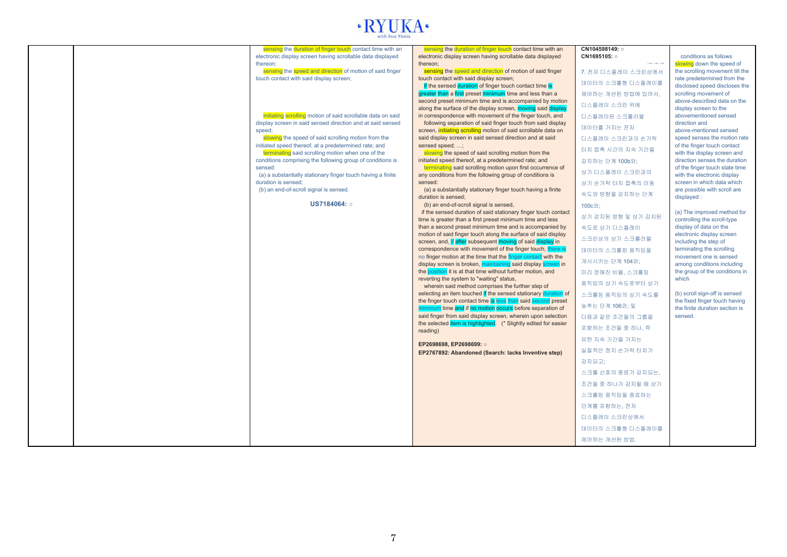# $\cdot RYLKA$

|  |                                                                                                                         |                                                                                                                           | CN104598149: o                            |                                                             |
|--|-------------------------------------------------------------------------------------------------------------------------|---------------------------------------------------------------------------------------------------------------------------|-------------------------------------------|-------------------------------------------------------------|
|  | sensing the duration of finger touch contact time with an<br>electronic display screen having scrollable data displayed | sensing the duration of finger touch contact time with an<br>electronic display screen having scrollable data displayed   | CN1695105: o                              | conditions as follows                                       |
|  | thereon:                                                                                                                | thereon;                                                                                                                  | $\rightarrow$ $\rightarrow$ $\rightarrow$ | slowing down the speed of                                   |
|  | sensing the speed and direction of motion of said finger                                                                | sensing the speed and direction of motion of said finger                                                                  | 7. 전자 디스플레이 스크린상에서                        | the scrolling movement till the                             |
|  | touch contact with said display screen;                                                                                 | touch contact with said display screen;                                                                                   | 데이터의 스크롤형 디스플레이를                          | rate predetermined from the                                 |
|  |                                                                                                                         | if the sensed duration of finger touch contact time is                                                                    |                                           | disclosed speed discloses the                               |
|  |                                                                                                                         | greater than a first preset minimum time and less than a                                                                  | 제어하는 개선된 방법에 있어서,                         | scrolling movement of                                       |
|  |                                                                                                                         | second preset minimum time and is accompanied by motion<br>along the surface of the display screen, moving said display   | 디스플레이 스크린 위에                              | above-described data on the<br>display screen to the        |
|  | initiating scrolling motion of said scrollable data on said                                                             | in correspondence with movement of the finger touch, and                                                                  | 디스플레이된 스크롤러블                              | abovementioned sensed                                       |
|  | display screen in said sensed direction and at said sensed                                                              | following separation of said finger touch from said display                                                               | 데이터를 가지는 전자                               | direction and                                               |
|  | speed;                                                                                                                  | screen, initiating scrolling motion of said scrollable data on                                                            |                                           | above-mentioned sensed                                      |
|  | slowing the speed of said scrolling motion from the<br>initiated speed thereof, at a predetermined rate; and            | said display screen in said sensed direction and at said<br>sensed speed; ;                                               | 디스플레이 스크린과의 손가락                           | speed senses the motion rate<br>of the finger touch contact |
|  | terminating said scrolling motion when one of the                                                                       | slowing the speed of said scrolling motion from the                                                                       | 터치 접촉 시간의 지속 기간을                          | with the display screen and                                 |
|  | conditions comprising the following group of conditions is                                                              | initiated speed thereof, at a predetermined rate; and                                                                     | 감지하는 단계 100b와:                            | direction senses the duration                               |
|  | sensed:                                                                                                                 | terminating said scrolling motion upon first occurrence of                                                                | 상기 디스플레이 스크린과의                            | of the finger touch state time                              |
|  | (a) a substantially stationary finger touch having a finite                                                             | any conditions from the following group of conditions is                                                                  |                                           | with the electronic display                                 |
|  | duration is sensed:<br>(b) an end-of-scroll signal is sensed.                                                           | sensed:<br>(a) a substantially stationary finger touch having a finite                                                    | 상기 손가락 터치 접촉의 이동                          | screen in which data which<br>are possible with scroll are  |
|  |                                                                                                                         | duration is sensed:                                                                                                       | 속도와 방향을 감지하는 단계                           | displayed:                                                  |
|  | US7184064: o                                                                                                            | (b) an end-of-scroll signal is sensed,                                                                                    | 100c안:                                    |                                                             |
|  |                                                                                                                         | if the sensed duration of said stationary finger touch contact                                                            | 상기 감지된 방향 및 상기 감지된                        | (a) The improved method for                                 |
|  |                                                                                                                         | time is greater than a first preset minimum time and less                                                                 |                                           | controlling the scroll-type                                 |
|  |                                                                                                                         | than a second preset minimum time and is accompanied by<br>motion of said finger touch along the surface of said display  | 속도로 상기 디스플레이                              | display of data on the<br>electronic display screen         |
|  |                                                                                                                         | screen, and, if after subsequent moving of said display in                                                                | 스크린상의 상기 스크롤러블                            | including the step of                                       |
|  |                                                                                                                         | correspondence with movement of the finger touch, there is                                                                | 데이터의 스크롤링 움직임을                            | terminating the scrolling                                   |
|  |                                                                                                                         | no finger motion at the time that the finger contact with the                                                             | 개시시키는 단계 104와;                            | movement one is sensed                                      |
|  |                                                                                                                         | display screen is broken, maintaining said display screen in                                                              |                                           | among conditions including                                  |
|  |                                                                                                                         | the position it is at that time without further motion, and<br>reverting the system to "waiting" status,                  | 미리 정해진 비율, 스크롤링                           | the group of the conditions in<br>which                     |
|  |                                                                                                                         | wherein said method comprises the further step of                                                                         | 움직임의 상기 속도로부터 상기                          |                                                             |
|  |                                                                                                                         | selecting an item touched if the sensed stationary duration of                                                            | 스크롤링 움직임의 상기 속도를                          | (b) scroll sign-off is sensed                               |
|  |                                                                                                                         | the finger touch contact time is less than said second preset                                                             | 늦추는 단계 106와; 및                            | the fixed finger touch having                               |
|  |                                                                                                                         | minimum time and if no motion occurs before separation of<br>said finger from said display screen, wherein upon selection |                                           | the finite duration section is<br>sensed.                   |
|  |                                                                                                                         | the selected item is highlighted. (* Slightly edited for easier                                                           | 다음과 같은 조건들의 그룹을                           |                                                             |
|  |                                                                                                                         | reading)                                                                                                                  | 포함하는 조건들 중 하나, 즉                          |                                                             |
|  |                                                                                                                         | EP2698698, EP2698699: o                                                                                                   | 유한 지속 기간을 가지는                             |                                                             |
|  |                                                                                                                         | EP2767892: Abandoned (Search: lacks Inventive step)                                                                       | 실질적인 정지 손가락 터치가                           |                                                             |
|  |                                                                                                                         |                                                                                                                           | 감지되고:                                     |                                                             |
|  |                                                                                                                         |                                                                                                                           |                                           |                                                             |
|  |                                                                                                                         |                                                                                                                           | 스크롤 신호의 종료가 감지되는.                         |                                                             |
|  |                                                                                                                         |                                                                                                                           | 조건들 중 하나가 감지될 때 상기                        |                                                             |
|  |                                                                                                                         |                                                                                                                           | 스크롤링 움직임을 종료하는                            |                                                             |
|  |                                                                                                                         |                                                                                                                           | 단계를 포함하는, 전자                              |                                                             |
|  |                                                                                                                         |                                                                                                                           | 디스플레이 스크린상에서                              |                                                             |
|  |                                                                                                                         |                                                                                                                           | 데이터의 스크롤형 디스플레이를                          |                                                             |
|  |                                                                                                                         |                                                                                                                           |                                           |                                                             |
|  |                                                                                                                         |                                                                                                                           | 제어하는 개선된 방법.                              |                                                             |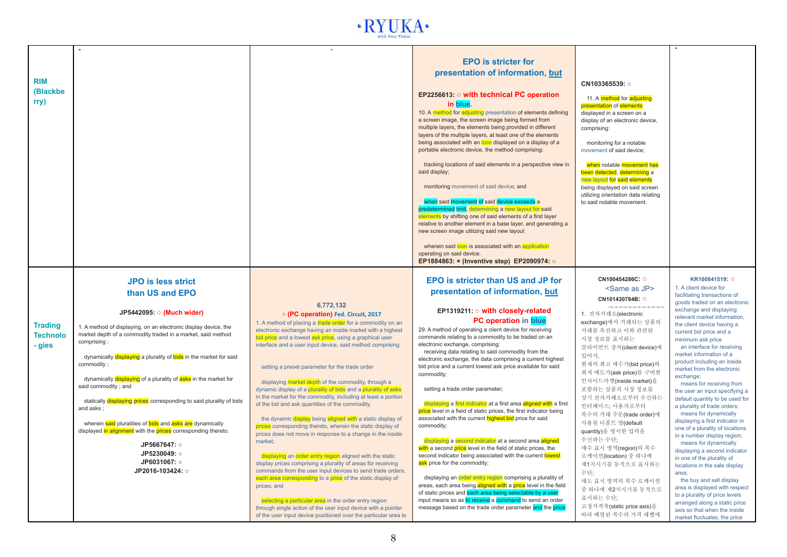

| <b>RIM</b><br>(Blackbe<br>rry)              |                                                                                                                                                                                                                                                                                                                                                                                                                                                                                                                                                                                                                                                 |                                                                                                                                                                                                                                                                                                                                                                                                                                                                                                                                                                                                                                                                                                                                                                                                                                                                                                                                                                                                                                                                                                                                                                                                                                                                                  | <b>EPO</b> is stricter for<br>presentation of information, but<br>EP2256613: $\circ$ with technical PC operation<br>in blue.<br>10. A method for adjusting presentation of elements defining<br>a screen image, the screen image being formed from<br>multiple layers, the elements being provided in different<br>layers of the multiple layers, at least one of the elements<br>being associated with an icon displayed on a display of a<br>portable electronic device, the method comprising:<br>tracking locations of said elements in a perspective view in<br>said display;<br>monitoring movement of said device; and<br>when said movement of said device exceeds a<br>predetermined limit, determining a new layout for said<br>elements by shifting one of said elements of a first layer<br>relative to another element in a base layer, and generating a<br>new screen image utilizing said new layout<br>wherein said icon is associated with an application<br>operating on said device.<br>EP1884863: x (Inventive step) EP2090974: o                                                                                                                                                                     | CN103365539: o<br>11. A method for adjusting<br><b>presentation</b> of <b>elements</b><br>displayed in a screen on a<br>display of an electronic device,<br>comprising:<br>monitoring for a notable<br>movement of said device;<br>when notable movement has<br>been detected, determining a<br>new layout for said elements<br>being displayed on said screen<br>utilizing orientation data relating<br>to said notable movement.                                                                                                                |                                                                                                                                                                                                                                                                                                                                                                                                                                                                                                                                                                                                                                                                                                                                                                                                                                                                            |
|---------------------------------------------|-------------------------------------------------------------------------------------------------------------------------------------------------------------------------------------------------------------------------------------------------------------------------------------------------------------------------------------------------------------------------------------------------------------------------------------------------------------------------------------------------------------------------------------------------------------------------------------------------------------------------------------------------|----------------------------------------------------------------------------------------------------------------------------------------------------------------------------------------------------------------------------------------------------------------------------------------------------------------------------------------------------------------------------------------------------------------------------------------------------------------------------------------------------------------------------------------------------------------------------------------------------------------------------------------------------------------------------------------------------------------------------------------------------------------------------------------------------------------------------------------------------------------------------------------------------------------------------------------------------------------------------------------------------------------------------------------------------------------------------------------------------------------------------------------------------------------------------------------------------------------------------------------------------------------------------------|---------------------------------------------------------------------------------------------------------------------------------------------------------------------------------------------------------------------------------------------------------------------------------------------------------------------------------------------------------------------------------------------------------------------------------------------------------------------------------------------------------------------------------------------------------------------------------------------------------------------------------------------------------------------------------------------------------------------------------------------------------------------------------------------------------------------------------------------------------------------------------------------------------------------------------------------------------------------------------------------------------------------------------------------------------------------------------------------------------------------------------------------------------------------------------------------------------------------------|---------------------------------------------------------------------------------------------------------------------------------------------------------------------------------------------------------------------------------------------------------------------------------------------------------------------------------------------------------------------------------------------------------------------------------------------------------------------------------------------------------------------------------------------------|----------------------------------------------------------------------------------------------------------------------------------------------------------------------------------------------------------------------------------------------------------------------------------------------------------------------------------------------------------------------------------------------------------------------------------------------------------------------------------------------------------------------------------------------------------------------------------------------------------------------------------------------------------------------------------------------------------------------------------------------------------------------------------------------------------------------------------------------------------------------------|
|                                             | <b>JPO</b> is less strict<br>than US and EPO                                                                                                                                                                                                                                                                                                                                                                                                                                                                                                                                                                                                    |                                                                                                                                                                                                                                                                                                                                                                                                                                                                                                                                                                                                                                                                                                                                                                                                                                                                                                                                                                                                                                                                                                                                                                                                                                                                                  | <b>EPO</b> is stricter than US and JP for<br>presentation of information, but                                                                                                                                                                                                                                                                                                                                                                                                                                                                                                                                                                                                                                                                                                                                                                                                                                                                                                                                                                                                                                                                                                                                             | CN100454286C: O<br><same as="" jp=""><br/>CN101430784B: O</same>                                                                                                                                                                                                                                                                                                                                                                                                                                                                                  | KR100841519: O<br>1. A client device for<br>facilitating transactions of<br>goods traded on an electronic                                                                                                                                                                                                                                                                                                                                                                                                                                                                                                                                                                                                                                                                                                                                                                  |
| <b>Trading</b><br><b>Technolo</b><br>- gies | JP5442095: 0 (Much wider)<br>1. A method of displaying, on an electronic display device, the<br>market depth of a commodity traded in a market, said method<br>comprising:<br>dynamically displaying a plurality of bids in the market for said<br>commodity ;<br>dynamically displaying of a plurality of asks in the market for<br>said commodity; and<br>statically displaying prices corresponding to said plurality of bids<br>and asks:<br>wherein said pluralities of bids and asks are dynamically<br>displayed in alignment with the prices corresponding thereto.<br>JP5667647: o<br>JP5230049: o<br>JP6031067: o<br>JP2016-103424: o | 6.772.132<br>o (PC operation) Fed. Circuit, 2017<br>1. A method of placing a trade order for a commodity on an<br>electronic exchange having an inside market with a highest<br>bid price and a lowest ask price, using a graphical user<br>interface and a user input device, said method comprising:<br>setting a preset parameter for the trade order<br>displaying market depth of the commodity, through a<br>dynamic display of a plurality of bids and a plurality of asks<br>in the market for the commodity, including at least a portion<br>of the bid and ask quantities of the commodity.<br>the dynamic display being aligned with a static display of<br>prices corresponding thereto, wherein the static display of<br>prices does not move in response to a change in the inside<br>market;<br>displaying an order entry region aligned with the static<br>display prices comprising a plurality of areas for receiving<br>commands from the user input devices to send trade orders,<br>each area corresponding to a price of the static display of<br>prices; and<br>selecting a particular area in the order entry region<br>through single action of the user input device with a pointer<br>of the user input device positioned over the particular area to | EP1319211: o with closely-related<br><b>PC operation in blue</b><br>29. A method of operating a client device for receiving<br>commands relating to a commodity to be traded on an<br>electronic exchange, comprising:<br>receiving data relating to said commodity from the<br>electronic exchange, the data comprising a current highest<br>bid price and a current lowest ask price available for said<br>commodity:<br>setting a trade order parameter;<br>displaying a first indicator at a first area aligned with a first<br>price level in a field of static prices, the first indicator being<br>associated with the current highest bid price for said<br>commodity;<br>displaying a second indicator at a second area aligned<br>with a second price level in the field of static prices, the<br>second indicator being associated with the current lowest<br>ask price for the commodity;<br>displaying an order entry region comprising a plurality of<br>areas, each area being aligned with a price level in the field<br>of static prices and each area being selectable by a user<br>input means so as to receive a command to send an order<br>message based on the trade order parameter and the price | _________________<br>1. 전자거래소(electronic<br>exchange)에서 거래되는 상품의<br>거래를 촉진하고 이와 관련된<br>시장 정보를 표시하는<br>클라이언트 장치(client device)에<br>있어서,<br>현재의 최고 매수가(bid price)와<br>최저 매도가(ask price)를 구비한<br>인사이드마켓(inside market)을<br>포함하는 상품의 시장 정보를<br>상기 전자거래소로부터 수신하는<br>인터페이스: 사용자로부터<br>복수의 거래 주문(trade order)에<br>사용될 디폴트 양(default<br>quantity)을 명시한 입력을<br>수신하는 수단:<br>매수 표시 영역(region)의 복수<br>로케이션(location) 중 하나에<br>제1지시기를 동적으로 표시하는<br>수단:<br>매도 표시 영역의 복수 로케이션<br>중 하나에 제2지시기를 동적으로<br>표시하는 수단:<br>고정가격축(static price axis)을<br>따라 배열된 복수의 가격 레벨에 | exchange and displaying<br>relevant market information,<br>the client device having a<br>current bid price and a<br>minimum ask price<br>an interface for receiving<br>market information of a<br>product including an inside<br>market from the electronic<br>exchange;<br>means for receiving from<br>the user an input specifying a<br>default quantity to be used for<br>a plurality of trade orders;<br>means for dynamically<br>displaying a first indicator in<br>one of a plurality of locations<br>in a number display region;<br>means for dynamically<br>displaying a second indicator<br>in one of the plurality of<br>locations in the sale display<br>area:<br>the buy and sell display<br>area is displayed with respect<br>to a plurality of price levels<br>arranged along a static price<br>axis so that when the inside<br>market fluctuates, the price |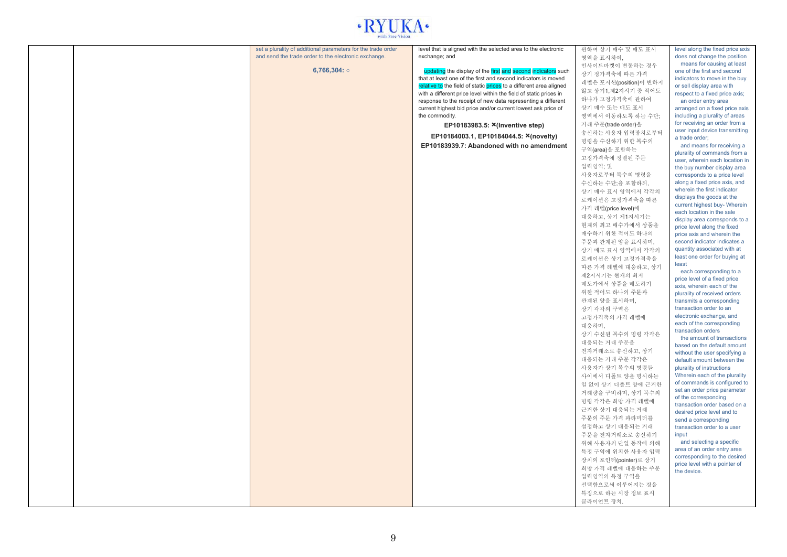## $\cdot$  RYUKA $\cdot$

|  | set a plurality of additional parameters for the trade order | level that is aligned with the selected area to the electronic                 | 관하여 상기 매수 및 매도 표시      | level along the fixed price axis                                |
|--|--------------------------------------------------------------|--------------------------------------------------------------------------------|------------------------|-----------------------------------------------------------------|
|  | and send the trade order to the electronic exchange.         | exchange; and                                                                  | 영역을 표시하여,              | does not change the position                                    |
|  |                                                              |                                                                                | 인사이드마켓이 변동하는 경우        | means for causing at least                                      |
|  | 6,766,304: $\circ$                                           | updating the display of the first and second indicators such                   | 상기 정가격축에 따른 가격         | one of the first and second                                     |
|  |                                                              | that at least one of the first and second indicators is moved                  | 레벨은 포지션(position)이 변하지 | indicators to move in the buy                                   |
|  |                                                              | relative to the field of static prices to a different area aligned             | 않고 상기1,제2지시기 중 적어도     | or sell display area with                                       |
|  |                                                              | with a different price level within the field of static prices in              | 하나가 고정가격축에 관하여         | respect to a fixed price axis;                                  |
|  |                                                              | response to the receipt of new data representing a different                   | 상기 매수 또는 매도 표시         | an order entry area                                             |
|  |                                                              | current highest bid price and/or current lowest ask price of<br>the commodity. |                        | arranged on a fixed price axis                                  |
|  |                                                              |                                                                                | 영역에서 이동하도록 하는 수단;      | including a plurality of areas<br>for receiving an order from a |
|  |                                                              | EP10183983.5: X(Inventive step)                                                | 거래 주문(trade order)을    | user input device transmitting                                  |
|  |                                                              | EP10184003.1, EP10184044.5: X(novelty)                                         | 송신하는 사용자 입력장치로부터       | a trade order;                                                  |
|  |                                                              | EP10183939.7: Abandoned with no amendment                                      | 명령을 수신하기 위한 복수의        | and means for receiving a                                       |
|  |                                                              |                                                                                | 구역(area)을 포함하는         | plurality of commands from a                                    |
|  |                                                              |                                                                                | 고정가격축에 정렬된 주문          | user, wherein each location in                                  |
|  |                                                              |                                                                                | 입력영역: 및                | the buy number display area                                     |
|  |                                                              |                                                                                | 사용자로부터 복수의 명령을         | corresponds to a price level                                    |
|  |                                                              |                                                                                | 수신하는 수단:을 포함하되.        | along a fixed price axis, and                                   |
|  |                                                              |                                                                                | 상기 매수 표시 영역에서 각각의      | wherein the first indicator                                     |
|  |                                                              |                                                                                |                        | displays the goods at the                                       |
|  |                                                              |                                                                                | 로케이션은 고정가격축을 따른        | current highest buy- Wherein                                    |
|  |                                                              |                                                                                | 가격 레벨(price level)에    | each location in the sale                                       |
|  |                                                              |                                                                                | 대응하고, 상기 제1지시기는        | display area corresponds to a                                   |
|  |                                                              |                                                                                | 현재의 최고 매수가에서 상품을       | price level along the fixed                                     |
|  |                                                              |                                                                                | 매수하기 위한 적어도 하나의        | price axis and wherein the                                      |
|  |                                                              |                                                                                | 주문과 관계된 양을 표시하며,       | second indicator indicates a                                    |
|  |                                                              |                                                                                | 상기 매도 표시 영역에서 각각의      | quantity associated with at                                     |
|  |                                                              |                                                                                | 로케이션은 상기 고정가격축을        | least one order for buying at                                   |
|  |                                                              |                                                                                | 따른 가격 레벨에 대응하고, 상기     | least                                                           |
|  |                                                              |                                                                                | 제2지시기는 현재의 최저          | each corresponding to a                                         |
|  |                                                              |                                                                                | 매도가에서 상품을 매도하기         | price level of a fixed price                                    |
|  |                                                              |                                                                                | 위한 적어도 하나의 주문과         | axis, wherein each of the                                       |
|  |                                                              |                                                                                | 관계된 양을 표시하며,           | plurality of received orders<br>transmits a corresponding       |
|  |                                                              |                                                                                |                        | transaction order to an                                         |
|  |                                                              |                                                                                | 상기 각각의 구역은             | electronic exchange, and                                        |
|  |                                                              |                                                                                | 고정가격축의 가격 레벨에          | each of the corresponding                                       |
|  |                                                              |                                                                                | 대응하며,                  | transaction orders                                              |
|  |                                                              |                                                                                | 상기 수신된 복수의 명령 각각은      | the amount of transactions                                      |
|  |                                                              |                                                                                | 대응되는 거래 주문을            | based on the default amount                                     |
|  |                                                              |                                                                                | 전자거래소로 송신하고, 상기        | without the user specifying a                                   |
|  |                                                              |                                                                                | 대응되는 거래 주문 각각은         | default amount between the                                      |
|  |                                                              |                                                                                | 사용자가 상기 복수의 명령들        | plurality of instructions                                       |
|  |                                                              |                                                                                | 사이에서 디폴트 양을 명시하는       | Wherein each of the plurality                                   |
|  |                                                              |                                                                                | 일 없이 상기 디폴트 양에 근거한     | of commands is configured to                                    |
|  |                                                              |                                                                                | 거래량을 구비하며, 상기 복수의      | set an order price parameter                                    |
|  |                                                              |                                                                                | 명령 각각은 희망 가격 레벨에       | of the corresponding                                            |
|  |                                                              |                                                                                | 근거한 상기 대응되는 거래         | transaction order based on a                                    |
|  |                                                              |                                                                                | 주문의 주문 가격 파라미터를        | desired price level and to                                      |
|  |                                                              |                                                                                |                        | send a corresponding                                            |
|  |                                                              |                                                                                | 설정하고 상기 대응되는 거래        | transaction order to a user                                     |
|  |                                                              |                                                                                | 주문을 전자거래소로 송신하기        | input<br>and selecting a specific                               |
|  |                                                              |                                                                                | 위해 사용자의 단일 동작에 의해      | area of an order entry area                                     |
|  |                                                              |                                                                                | 특정 구역에 위치한 사용자 입력      | corresponding to the desired                                    |
|  |                                                              |                                                                                | 장치의 포인터(pointer)로 상기   | price level with a pointer of                                   |
|  |                                                              |                                                                                | 희망 가격 레벨에 대응하는 주문      | the device.                                                     |
|  |                                                              |                                                                                | 입력영역의 특정 구역을           |                                                                 |
|  |                                                              |                                                                                | 선택함으로써 이루어지는 것을        |                                                                 |
|  |                                                              |                                                                                | 특징으로 하는 시장 정보 표시       |                                                                 |
|  |                                                              |                                                                                | 클라이언트 장치.              |                                                                 |
|  |                                                              |                                                                                |                        |                                                                 |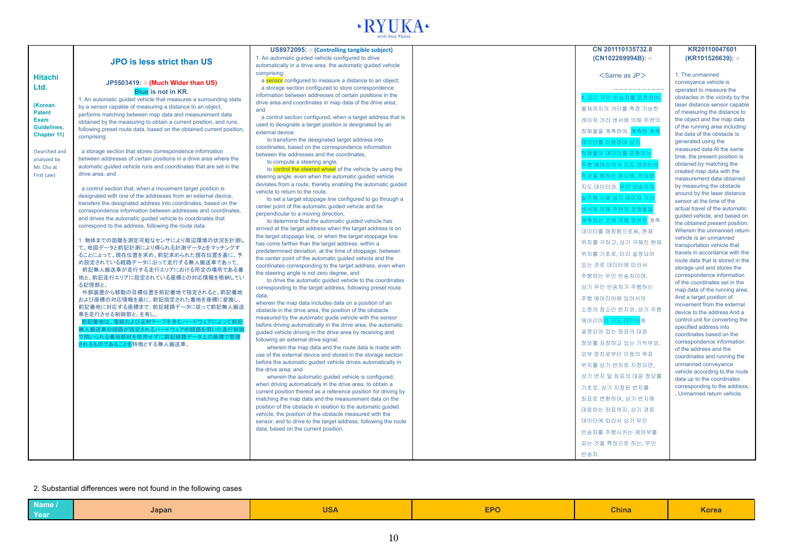

|                       |                                                                                                                             | US8972095: o (Controlling tangible subject)                                                                             | CN 201110135732.8                                                                                                                                             | KR20110047601                                               |
|-----------------------|-----------------------------------------------------------------------------------------------------------------------------|-------------------------------------------------------------------------------------------------------------------------|---------------------------------------------------------------------------------------------------------------------------------------------------------------|-------------------------------------------------------------|
|                       | <b>JPO</b> is less strict than US                                                                                           | 1. An automatic quided vehicle configured to drive                                                                      | (CN102269994B): o                                                                                                                                             | (KR101526639): ○                                            |
|                       |                                                                                                                             | automatically in a drive area, the automatic quided vehicle                                                             |                                                                                                                                                               |                                                             |
| <b>Hitachi</b>        |                                                                                                                             | comprising:                                                                                                             | $<$ Same as JP $>$                                                                                                                                            | 1. The unmanned                                             |
| Ltd.                  | JP5503419: $\circ$ (Much Wider than US)                                                                                     | a sensor configured to measure a distance to an object;                                                                 |                                                                                                                                                               | conveyance vehicle is                                       |
|                       | <b>Blue</b> is not in KR.                                                                                                   | a storage section configured to store correspondence<br>information between addresses of certain positions in the       | $\rightarrow \rightarrow \rightarrow \rightarrow \rightarrow \rightarrow \rightarrow \rightarrow \rightarrow \rightarrow \rightarrow \rightarrow \rightarrow$ | operated to measure the                                     |
|                       | 1. An automatic quided vehicle that measures a surrounding state                                                            | drive area and coordinates in map data of the drive area;                                                               | I. 미리 무인 반송차를 운전하여                                                                                                                                            | obstacles in the vicinity by the                            |
| (Korean               | by a sensor capable of measuring a distance to an object,                                                                   | and                                                                                                                     | 물체까지의 거리를 측정 가능한                                                                                                                                              | laser distance sensor capable                               |
| <b>Patent</b><br>Exam | performs matching between map data and measurement data                                                                     | a control section configured, when a target address that is                                                             | 레이저 거리 센서에 의해 주변의                                                                                                                                             | of measuring the distance to<br>the object and the map data |
| <b>Guidelines.</b>    | obtained by the measuring to obtain a current position, and runs,                                                           | used to designate a target position is designated by an                                                                 |                                                                                                                                                               | of the running area including                               |
| Chapter 11)           | following preset route data, based on the obtained current position,<br>comprising:                                         | external device:                                                                                                        | 장해물을 계측하여, <mark>계측한 계측</mark>                                                                                                                                | the data of the obstacle is                                 |
|                       |                                                                                                                             | to transform the designated target address into                                                                         | 데이터를 이용하여 상기                                                                                                                                                  | generated using the                                         |
| (Searched and         | a storage section that stores correspondence information                                                                    | coordinates, based on the correspondence information                                                                    | 장해물의 데이터를 포함하는                                                                                                                                                | measured data At the same                                   |
| analyzed by           | between addresses of certain positions in a drive area where the                                                            | between the addresses and the coordinates,<br>to compute a steering angle,                                              |                                                                                                                                                               | time, the present position is                               |
| Mr. Cho at            | automatic quided vehicle runs and coordinates that are set in the                                                           | to control the steered wheel of the vehicle by using the                                                                | 주행 에어리어의 지도 데이터의                                                                                                                                              | obtained by matching the                                    |
| First Law)            | drive area: and                                                                                                             | steering angle, even when the automatic guided vehicle                                                                  | 작성을 행하는 동시에, 작성한                                                                                                                                              | created map data with the<br>measurement data obtained      |
|                       |                                                                                                                             | deviates from a route, thereby enabling the automatic quided                                                            | 지도 데이터와, <mark>무인 반송차의</mark>                                                                                                                                 | by measuring the obstacle                                   |
|                       | a control section that, when a movement target position is<br>designated with one of the addresses from an external device, | vehicle to return to the route.                                                                                         |                                                                                                                                                               | around by the laser distance                                |
|                       | transfers the designated address into coordinates, based on the                                                             | to set a target stoppage line configured to go through a                                                                | 실주행 시에 상기 레이저 거리                                                                                                                                              | sensor at the time of the                                   |
|                       | correspondence information between addresses and coordinates,                                                               | center point of the automatic guided vehicle and be                                                                     | 센서에 의해 주변의 장해물을                                                                                                                                               | actual travel of the automatic                              |
|                       | and drives the automatic guided vehicle to coordinates that                                                                 | perpendicular to a moving direction,                                                                                    | 계측하는 것에 의해 얻어 <mark>진</mark> 계측                                                                                                                               | quided vehicle, and based on                                |
|                       | correspond to the address, following the route data.                                                                        | to determine that the automatic guided vehicle has<br>arrived at the target address when the target address is on       |                                                                                                                                                               | the obtained present position,                              |
|                       |                                                                                                                             | the target stoppage line, or when the target stoppage line                                                              | 데이터를 매칭함으로써, 현재                                                                                                                                               | Wherein the unmanned return<br>vehicle is an unmanned       |
|                       | 1. 物体までの距離を測定可能なセンサにより周辺環境の状況を計測し                                                                                           | has come farther than the target address, within a                                                                      | 위치를 구하고, 상기 구해진 현재                                                                                                                                            | transportation vehicle that                                 |
|                       | て、地図データと前記計測により得られる計測データとをマッチングす                                                                                            | predetermined deviation, at the time of stoppage, between                                                               | 위치를 기초로, 미리 설정되어                                                                                                                                              | travels in accordance with the                              |
|                       | ることによって、現在位置を求め、前記求められた現在位置を基に、予<br>め設定されている経路データに沿って走行する無人搬送車であって、                                                         | the center point of the automatic guided vehicle and the                                                                |                                                                                                                                                               | route data that is stored in the                            |
|                       | 前記無人搬送車が走行する走行エリアにおける所定の場所である番                                                                                              | coordinates corresponding to the target address, even when                                                              | 있는 경로 데이터에 따라서.                                                                                                                                               | storage unit and stores the                                 |
|                       | 地と、前記走行エリアに設定されている座標との対応情報を格納してい                                                                                            | the steering angle is not zero degree, and                                                                              | 주행하는 무인 반송차이며.                                                                                                                                                | correspondence information                                  |
|                       | る記憶部と、                                                                                                                      | to drive the automatic guided vehicle to the coordinates<br>corresponding to the target address, following preset route | 상기 무인 반송차가 주행하는                                                                                                                                               | of the coordinates set in the                               |
|                       | 外部装置から移動の目標位置を前記番地で指定されると、前記番地                                                                                              | data:                                                                                                                   |                                                                                                                                                               | map data of the running area,                               |
|                       | および座標の対応情報を基に、前記指定された番地を座標に変換し、                                                                                             | wherein the map data includes data on a position of an                                                                  | 주행 에어리어에 있어서의                                                                                                                                                 | And a target position of<br>movement from the external      |
|                       | 前記番地に対応する座標まで、前記経路データに従って前記無人搬送                                                                                             | obstacle in the drive area, the position of the obstacle                                                                | 소정의 장소인 번지와, 상기 주행                                                                                                                                            | device to the address And a                                 |
|                       | 車を走行させる制御部と、を有し、<br>前記番地は、電線および反射テープを含むハードウェアによって前記                                                                         | measured by the automatic quide vehicle with the sensor                                                                 | 에어리어 <mark>의 지도 데이터</mark> 에                                                                                                                                  | control unit for converting the                             |
|                       | 無人搬送車の経路が指定されるハードウェア的経路を用いた走行制                                                                                              | before driving automatically in the drive area, the automatic                                                           |                                                                                                                                                               | specified address into                                      |
|                       | で用いられる番地部材を使用せずに前記経路データ上の座標で管理                                                                                              | guided vehicle driving in the drive area by receiving and                                                               | 설정되어 있는 좌표의 대응                                                                                                                                                | coordinates based on the                                    |
|                       | されるものであることを特徴とする無人搬送車。                                                                                                      | following an external drive signal;<br>wherein the map data and the route data is made with                             | 정보를 저장하고 있는 기억부와,                                                                                                                                             | correspondence information                                  |
|                       |                                                                                                                             | use of the external device and stored in the storage section                                                            | 외부 장치로부터 이동의 목표                                                                                                                                               | of the address and the                                      |
|                       |                                                                                                                             | before the automatic quided vehicle drives automatically in                                                             |                                                                                                                                                               | coordinates and running the<br>unmanned conveyance          |
|                       |                                                                                                                             | the drive area; and                                                                                                     | 위치를 상기 번지로 지정되면,                                                                                                                                              | vehicle according to the route                              |
|                       |                                                                                                                             | wherein the automatic guided vehicle is configured,                                                                     | 상기 번지 및 좌표의 대응 정보를                                                                                                                                            | data up to the coordinates                                  |
|                       |                                                                                                                             | when driving automatically in the drive area, to obtain a                                                               | 기초로, 상기 지정된 번지를                                                                                                                                               | corresponding to the address,                               |
|                       |                                                                                                                             | current position thereof as a reference position for driving by                                                         |                                                                                                                                                               | Unmanned return vehicle.                                    |
|                       |                                                                                                                             | matching the map data and the measurement data on the                                                                   | 좌표로 변환하여, 상기 번지에                                                                                                                                              |                                                             |
|                       |                                                                                                                             | position of the obstacle in relation to the automatic guided<br>vehicle, the position of the obstacle measured with the | 대응하는 좌표까지, 상기 경로                                                                                                                                              |                                                             |
|                       |                                                                                                                             | sensor, and to drive to the target address, following the route                                                         | 데이터에 따라서 상기 무인                                                                                                                                                |                                                             |
|                       |                                                                                                                             | data, based on the current position.                                                                                    | 반송차를 주행시키는 제어부를                                                                                                                                               |                                                             |
|                       |                                                                                                                             |                                                                                                                         | 갖는 것을 특징으로 하는, 무인                                                                                                                                             |                                                             |
|                       |                                                                                                                             |                                                                                                                         | 반송차.                                                                                                                                                          |                                                             |
|                       |                                                                                                                             |                                                                                                                         |                                                                                                                                                               |                                                             |

#### 2. Substantial differences were not found in the following cases

| .<br>Name / |       | $\sim$     | <b>EPO</b> | <b>China</b> | <b>Korea</b> |
|-------------|-------|------------|------------|--------------|--------------|
| Year        | Japan | <b>UJA</b> |            |              |              |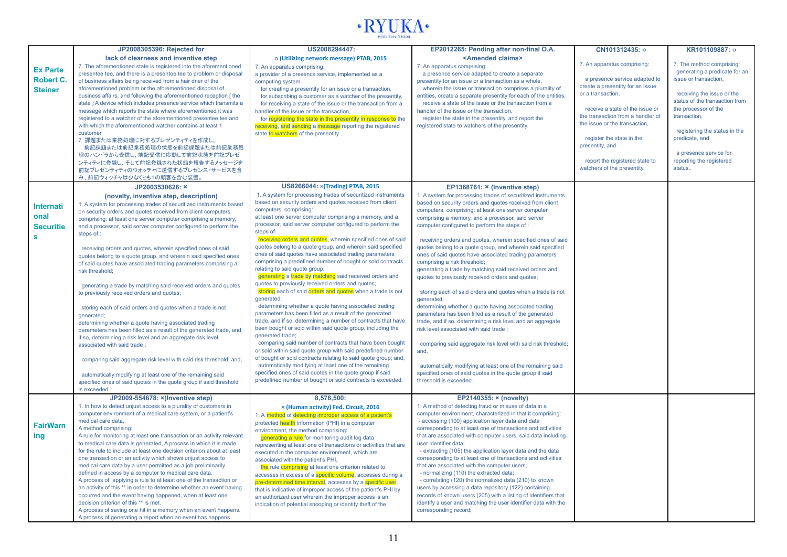

|                                                              | JP2008305396: Rejected for                                                                                                                                                                                                                                                                                                                                                                                                                                                                                                                                                                                                                                                                                                                                                                                                                                                                                                                                                                                                                                                                                                                                                              | US2008294447:                                                                                                                                                                                                                                                                                                                                                                                                                                                                                                                                                                                                                                                                                                                                                                                                                                                                                                                                                                                                                                                                                                                                                                                                                                                                                                                                                                                                                   | EP2012265: Pending after non-final O.A.                                                                                                                                                                                                                                                                                                                                                                                                                                                                                                                                                                                                                                                                                                                                                                                                                                                                                                                                                                                                                                                                                                                           | CN101312435: 0                                                                                                                                                                                                                                                                                                                                  | KR101109887: 0                                                                                                                                                                                                                                                                                                  |
|--------------------------------------------------------------|-----------------------------------------------------------------------------------------------------------------------------------------------------------------------------------------------------------------------------------------------------------------------------------------------------------------------------------------------------------------------------------------------------------------------------------------------------------------------------------------------------------------------------------------------------------------------------------------------------------------------------------------------------------------------------------------------------------------------------------------------------------------------------------------------------------------------------------------------------------------------------------------------------------------------------------------------------------------------------------------------------------------------------------------------------------------------------------------------------------------------------------------------------------------------------------------|---------------------------------------------------------------------------------------------------------------------------------------------------------------------------------------------------------------------------------------------------------------------------------------------------------------------------------------------------------------------------------------------------------------------------------------------------------------------------------------------------------------------------------------------------------------------------------------------------------------------------------------------------------------------------------------------------------------------------------------------------------------------------------------------------------------------------------------------------------------------------------------------------------------------------------------------------------------------------------------------------------------------------------------------------------------------------------------------------------------------------------------------------------------------------------------------------------------------------------------------------------------------------------------------------------------------------------------------------------------------------------------------------------------------------------|-------------------------------------------------------------------------------------------------------------------------------------------------------------------------------------------------------------------------------------------------------------------------------------------------------------------------------------------------------------------------------------------------------------------------------------------------------------------------------------------------------------------------------------------------------------------------------------------------------------------------------------------------------------------------------------------------------------------------------------------------------------------------------------------------------------------------------------------------------------------------------------------------------------------------------------------------------------------------------------------------------------------------------------------------------------------------------------------------------------------------------------------------------------------|-------------------------------------------------------------------------------------------------------------------------------------------------------------------------------------------------------------------------------------------------------------------------------------------------------------------------------------------------|-----------------------------------------------------------------------------------------------------------------------------------------------------------------------------------------------------------------------------------------------------------------------------------------------------------------|
| <b>Ex Parte</b><br><b>Robert C.</b><br><b>Steiner</b>        | lack of clearness and inventive step<br>7. The aforementioned state is registered into the aforementioned<br>presentee tee, and there is a presentee tee to problem or disposal<br>of business affairs being received from a hair drier of the<br>aforementioned problem or the aforementioned disposal of<br>business affairs, and following the aforementioned reception [ the<br>state ] A device which includes presence service which transmits a<br>message which reports the state where aforementioned it was<br>registered to a watcher of the aforementioned presentee tee and<br>with which the aforementioned watcher contains at least 1<br>customer.<br>7. 課題または業務処理に対するプレゼンティティを作成し、<br>前記課題または前記業務処理の状態を前記課題または前記業務処<br>理のハンドラから受信し、前記受信に応動して前記状態を前記プレゼ<br>ンティティに登録し、そして前記登録された状態を報告するメッセージを<br>前記プレゼンティティのウォッチャに送信するプレゼンス・サービスを含<br>み、前記ウォッチャは少なくとも1の顧客を含む装置。                                                                                                                                                                                                                                                                                                          | o (Utilizing network message) PTAB, 2015<br>7. An apparatus comprising:<br>a provider of a presence service, implemented as a<br>computing system,<br>for creating a presentity for an issue or a transaction,<br>for subscribing a customer as a watcher of the presentity,<br>for receiving a state of the issue or the transaction from a<br>handler of the issue or the transaction,<br>for registering the state in the presentity in response to the<br>receiving, and sending a message reporting the registered<br>state to watchers of the presentity.                                                                                                                                                                                                                                                                                                                                                                                                                                                                                                                                                                                                                                                                                                                                                                                                                                                                 | <amended claims=""><br/>7. An apparatus comprising:<br/>a presence service adapted to create a separate<br/>presentity for an issue or a transaction as a whole,<br/>wherein the issue or transaction comprises a plurality of<br/>entities, create a separate presentity for each of the entities,<br/>receive a state of the issue or the transaction from a<br/>handler of the issue or the transaction,<br/>register the state in the presentity, and report the<br/>registered state to watchers of the presentity.</amended>                                                                                                                                                                                                                                                                                                                                                                                                                                                                                                                                                                                                                                | 7. An apparatus comprising:<br>a presence service adapted to<br>create a presentity for an issue<br>or a transaction.<br>receive a state of the issue or<br>the transaction from a handler of<br>the issue or the transaction.<br>register the state in the<br>presentity, and<br>report the registered state to<br>watchers of the presentity. | 7. The method comprising:<br>generating a predicate for an<br>issue or transaction,<br>receiving the issue or the<br>status of the transaction from<br>the processor of the<br>transaction.<br>registering the status in the<br>predicate, and<br>a presence service for<br>reporting the registered<br>status. |
|                                                              | JP2003530626: ×                                                                                                                                                                                                                                                                                                                                                                                                                                                                                                                                                                                                                                                                                                                                                                                                                                                                                                                                                                                                                                                                                                                                                                         | <b>US8266044: × (Trading) PTAB, 2015</b>                                                                                                                                                                                                                                                                                                                                                                                                                                                                                                                                                                                                                                                                                                                                                                                                                                                                                                                                                                                                                                                                                                                                                                                                                                                                                                                                                                                        | EP1368761: × (Inventive step)                                                                                                                                                                                                                                                                                                                                                                                                                                                                                                                                                                                                                                                                                                                                                                                                                                                                                                                                                                                                                                                                                                                                     |                                                                                                                                                                                                                                                                                                                                                 |                                                                                                                                                                                                                                                                                                                 |
| <b>Internati</b><br>onal<br><b>Securitie</b><br>$\mathbf{s}$ | (novelty, inventive step, description)<br>1. A system for processing trades of securitized instruments based<br>on security orders and quotes received from client computers,<br>comprising: at least one server computer comprising a memory,<br>and a processor, said server computer configured to perform the<br>steps of:<br>receiving orders and quotes, wherein specified ones of said<br>quotes belong to a quote group, and wherein said specified ones<br>of said quotes have associated trading parameters comprising a<br>risk threshold:<br>generating a trade by matching said received orders and quotes<br>to previously received orders and quotes;<br>storing each of said orders and quotes when a trade is not<br>generated;<br>determining whether a guote having associated trading<br>parameters has been filled as a result of the generated trade, and<br>if so, determining a risk level and an aggregate risk level<br>associated with said trade;<br>comparing said aggregate risk level with said risk threshold; and,<br>automatically modifying at least one of the remaining said<br>specified ones of said quotes in the quote group if said threshold | 1. A system for processing trades of securitized instruments<br>based on security orders and quotes received from client<br>computers, comprising:<br>at least one server computer comprising a memory, and a<br>processor, said server computer configured to perform the<br>steps of:<br>receiving orders and quotes, wherein specified ones of said<br>quotes belong to a quote group, and wherein said specified<br>ones of said quotes have associated trading parameters<br>comprising a predefined number of bought or sold contracts<br>relating to said quote group;<br>generating a trade by matching said received orders and<br>quotes to previously received orders and quotes;<br>storing each of said orders and quotes when a trade is not<br>generated;<br>determining whether a quote having associated trading<br>parameters has been filled as a result of the generated<br>trade, and if so, determining a number of contracts that have<br>been bought or sold within said quote group, including the<br>generated trade;<br>comparing said number of contracts that have been bought<br>or sold within said quote group with said predefined number<br>of bought or sold contracts relating to said quote group; and,<br>automatically modifying at least one of the remaining<br>specified ones of said quotes in the quote group if said<br>predefined number of bought or sold contracts is exceeded. | 1. A system for processing trades of securitized instruments<br>based on security orders and quotes received from client<br>computers, comprising: at least one server computer<br>comprising a memory, and a processor, said server<br>computer configured to perform the steps of :<br>receiving orders and quotes, wherein specified ones of said<br>quotes belong to a quote group, and wherein said specified<br>ones of said quotes have associated trading parameters<br>comprising a risk threshold;<br>generating a trade by matching said received orders and<br>quotes to previously received orders and quotes;<br>storing each of said orders and quotes when a trade is not<br>generated;<br>determining whether a quote having associated trading<br>parameters has been filled as a result of the generated<br>trade, and if so, determining a risk level and an aggregate<br>risk level associated with said trade;<br>comparing said aggregate risk level with said risk threshold;<br>and,<br>automatically modifying at least one of the remaining said<br>specified ones of said quotes in the quote group if said<br>threshold is exceeded. |                                                                                                                                                                                                                                                                                                                                                 |                                                                                                                                                                                                                                                                                                                 |
|                                                              | is exceeded.                                                                                                                                                                                                                                                                                                                                                                                                                                                                                                                                                                                                                                                                                                                                                                                                                                                                                                                                                                                                                                                                                                                                                                            |                                                                                                                                                                                                                                                                                                                                                                                                                                                                                                                                                                                                                                                                                                                                                                                                                                                                                                                                                                                                                                                                                                                                                                                                                                                                                                                                                                                                                                 |                                                                                                                                                                                                                                                                                                                                                                                                                                                                                                                                                                                                                                                                                                                                                                                                                                                                                                                                                                                                                                                                                                                                                                   |                                                                                                                                                                                                                                                                                                                                                 |                                                                                                                                                                                                                                                                                                                 |
| <b>FairWarn</b><br>ing                                       | JP2009-554678: x(Inventive step)<br>1. In how to detect unjust access to a plurality of customers in<br>computer environment of a medical care system, or a patient's<br>medical care data,<br>A method comprising:<br>A rule for monitoring at least one transaction or an activity relevant<br>to medical care data is generated, A process in which it is made<br>for the rule to include at least one decision criterion about at least<br>one transaction or an activity which shows unjust access to<br>medical care data by a user permitted as a job preliminarily<br>defined in access by a computer to medical care data.<br>A process of applying a rule to at least one of the transaction or<br>an activity of this ** in order to determine whether an event having<br>occurred and the event having happened, when at least one<br>decision criterion of this ** is met.<br>A process of saving one hit in a memory when an event happens.<br>A process of generating a report when an event has happens.                                                                                                                                                                | 8,578,500:<br>x (Human activity) Fed. Circuit, 2016<br>1. A method of detecting improper access of a patient's<br>protected health information (PHI) in a computer<br>environment, the method comprising:<br>generating a rule for monitoring audit log data<br>representing at least one of transactions or activities that are<br>executed in the computer environment, which are<br>associated with the patient's PHI.<br>the rule comprising at least one criterion related to<br>accesses in excess of a <b>specific volume</b> , accesses during a<br>pre-determined time interval, accesses by a specific user,<br>that is indicative of improper access of the patient's PHI by<br>an authorized user wherein the improper access is an<br>indication of potential snooping or identity theft of the                                                                                                                                                                                                                                                                                                                                                                                                                                                                                                                                                                                                                    | EP2140355: × (novelty)<br>1. A method of detecting fraud or misuse of data in a<br>computer environment, characterized in that it comprising:<br>- accessing (100) application layer data and data<br>corresponding to at least one of transactions and activities<br>that are associated with computer users, said data including<br>user identifier data;<br>- extracting (105) the application layer data and the data<br>corresponding to at least one of transactions and activities<br>that are associated with the computer users;<br>- normalizing (110) the extracted data;<br>- correlating (120) the normalized data (210) to known<br>users by accessing a data repository (122) containing<br>records of known users (205) with a listing of identifiers that<br>identify a user and matching the user identifier data with the<br>corresponding record;                                                                                                                                                                                                                                                                                             |                                                                                                                                                                                                                                                                                                                                                 |                                                                                                                                                                                                                                                                                                                 |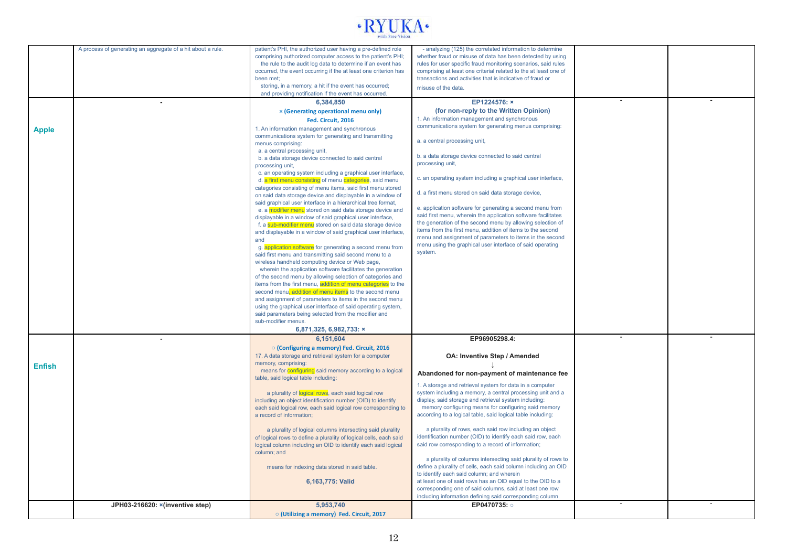

|               | A process of generating an aggregate of a hit about a rule. | patient's PHI, the authorized user having a pre-defined role                                                                | - analyzing (125) the correlated information to determine                                                                |  |
|---------------|-------------------------------------------------------------|-----------------------------------------------------------------------------------------------------------------------------|--------------------------------------------------------------------------------------------------------------------------|--|
|               |                                                             | comprising authorized computer access to the patient's PHI;                                                                 | whether fraud or misuse of data has been detected by using                                                               |  |
|               |                                                             | the rule to the audit log data to determine if an event has                                                                 | rules for user specific fraud monitoring scenarios, said rules                                                           |  |
|               |                                                             | occurred, the event occurring if the at least one criterion has                                                             | comprising at least one criterial related to the at least one of                                                         |  |
|               |                                                             | been met:                                                                                                                   | transactions and activities that is indicative of fraud or                                                               |  |
|               |                                                             | storing, in a memory, a hit if the event has occurred;                                                                      | misuse of the data.                                                                                                      |  |
|               |                                                             | and providing notification if the event has occurred.                                                                       |                                                                                                                          |  |
|               |                                                             | 6.384.850                                                                                                                   | EP1224576: x                                                                                                             |  |
|               |                                                             | x (Generating operational menu only)                                                                                        | (for non-reply to the Written Opinion)                                                                                   |  |
|               |                                                             | Fed. Circuit, 2016                                                                                                          | 1. An information management and synchronous                                                                             |  |
|               |                                                             | 1. An information management and synchronous                                                                                | communications system for generating menus comprising:                                                                   |  |
| <b>Apple</b>  |                                                             | communications system for generating and transmitting                                                                       |                                                                                                                          |  |
|               |                                                             | menus comprising:                                                                                                           | a. a central processing unit,                                                                                            |  |
|               |                                                             | a. a central processing unit,                                                                                               |                                                                                                                          |  |
|               |                                                             | b. a data storage device connected to said central                                                                          | b. a data storage device connected to said central                                                                       |  |
|               |                                                             | processing unit,                                                                                                            | processing unit,                                                                                                         |  |
|               |                                                             | c. an operating system including a graphical user interface,                                                                |                                                                                                                          |  |
|               |                                                             | d. a first menu consisting of menu categories, said menu                                                                    | c. an operating system including a graphical user interface,                                                             |  |
|               |                                                             | categories consisting of menu items, said first menu stored                                                                 |                                                                                                                          |  |
|               |                                                             | on said data storage device and displayable in a window of                                                                  | d. a first menu stored on said data storage device,                                                                      |  |
|               |                                                             | said graphical user interface in a hierarchical tree format,                                                                |                                                                                                                          |  |
|               |                                                             | e. a modifier menu stored on said data storage device and                                                                   | e. application software for generating a second menu from                                                                |  |
|               |                                                             | displayable in a window of said graphical user interface,                                                                   | said first menu, wherein the application software facilitates                                                            |  |
|               |                                                             | f. a sub-modifier menu stored on said data storage device                                                                   | the generation of the second menu by allowing selection of<br>items from the first menu, addition of items to the second |  |
|               |                                                             | and displayable in a window of said graphical user interface,                                                               | menu and assignment of parameters to items in the second                                                                 |  |
|               |                                                             | and                                                                                                                         | menu using the graphical user interface of said operating                                                                |  |
|               |                                                             | g. application software for generating a second menu from                                                                   | system.                                                                                                                  |  |
|               |                                                             | said first menu and transmitting said second menu to a                                                                      |                                                                                                                          |  |
|               |                                                             | wireless handheld computing device or Web page,                                                                             |                                                                                                                          |  |
|               |                                                             | wherein the application software facilitates the generation                                                                 |                                                                                                                          |  |
|               |                                                             | of the second menu by allowing selection of categories and<br>items from the first menu, addition of menu categories to the |                                                                                                                          |  |
|               |                                                             | second menul, addition of menu items to the second menu                                                                     |                                                                                                                          |  |
|               |                                                             | and assignment of parameters to items in the second menu                                                                    |                                                                                                                          |  |
|               |                                                             | using the graphical user interface of said operating system,                                                                |                                                                                                                          |  |
|               |                                                             | said parameters being selected from the modifier and                                                                        |                                                                                                                          |  |
|               |                                                             | sub-modifier menus.                                                                                                         |                                                                                                                          |  |
|               |                                                             | 6,871,325, 6,982,733: ×                                                                                                     |                                                                                                                          |  |
|               |                                                             | 6,151,604                                                                                                                   | EP96905298.4:                                                                                                            |  |
|               |                                                             |                                                                                                                             |                                                                                                                          |  |
|               |                                                             | ○ (Configuring a memory) Fed. Circuit, 2016                                                                                 |                                                                                                                          |  |
|               |                                                             | 17. A data storage and retrieval system for a computer<br>memory, comprising:                                               | OA: Inventive Step / Amended                                                                                             |  |
| <b>Enfish</b> |                                                             | means for <b>configuring</b> said memory according to a logical                                                             |                                                                                                                          |  |
|               |                                                             | table, said logical table including:                                                                                        | Abandoned for non-payment of maintenance fee                                                                             |  |
|               |                                                             |                                                                                                                             | 1. A storage and retrieval system for data in a computer                                                                 |  |
|               |                                                             | a plurality of logical rows, each said logical row                                                                          | system including a memory, a central processing unit and a                                                               |  |
|               |                                                             | including an object identification number (OID) to identify                                                                 | display, said storage and retrieval system including:                                                                    |  |
|               |                                                             | each said logical row, each said logical row corresponding to                                                               | memory configuring means for configuring said memory                                                                     |  |
|               |                                                             | a record of information;                                                                                                    | according to a logical table, said logical table including:                                                              |  |
|               |                                                             |                                                                                                                             |                                                                                                                          |  |
|               |                                                             | a plurality of logical columns intersecting said plurality                                                                  | a plurality of rows, each said row including an object                                                                   |  |
|               |                                                             | of logical rows to define a plurality of logical cells, each said                                                           | identification number (OID) to identify each said row, each                                                              |  |
|               |                                                             | logical column including an OID to identify each said logical                                                               | said row corresponding to a record of information;                                                                       |  |
|               |                                                             | column: and                                                                                                                 |                                                                                                                          |  |
|               |                                                             |                                                                                                                             | a plurality of columns intersecting said plurality of rows to                                                            |  |
|               |                                                             | means for indexing data stored in said table.                                                                               | define a plurality of cells, each said column including an OID                                                           |  |
|               |                                                             |                                                                                                                             | to identify each said column; and wherein                                                                                |  |
|               |                                                             | 6,163,775: Valid                                                                                                            | at least one of said rows has an OID equal to the OID to a                                                               |  |
|               |                                                             |                                                                                                                             | corresponding one of said columns, said at least one row                                                                 |  |
|               |                                                             |                                                                                                                             | including information defining said corresponding column.<br>EP0470735: o                                                |  |
|               | JPH03-216620: × (inventive step)                            | 5,953,740                                                                                                                   |                                                                                                                          |  |
|               |                                                             | o (Utilizing a memory) Fed. Circuit, 2017                                                                                   |                                                                                                                          |  |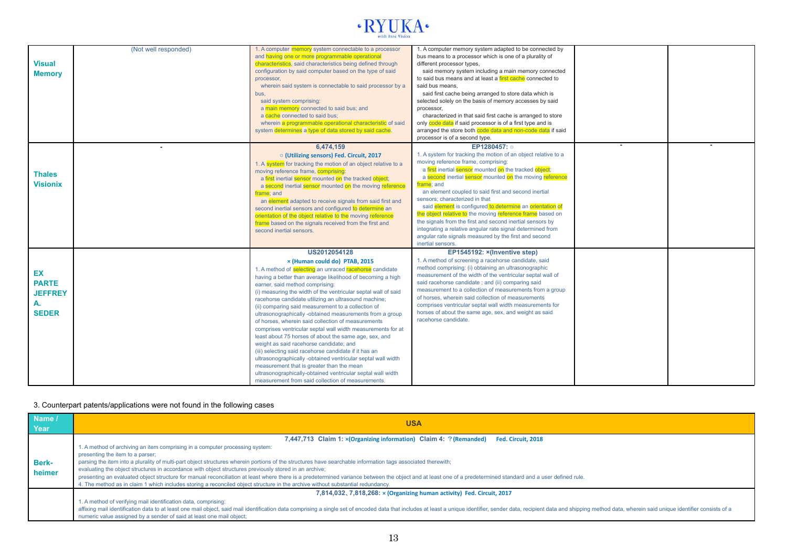

| <b>Visual</b><br><b>Memory</b>                             | (Not well responded) | 1. A computer memory system connectable to a processor<br>and having one or more programmable operational<br>characteristics, said characteristics being defined through<br>configuration by said computer based on the type of said<br>processor,<br>wherein said system is connectable to said processor by a<br>bus,<br>said system comprising:<br>a main memory connected to said bus; and<br>a cache connected to said bus;<br>wherein a programmable operational characteristic of said<br>system determines a type of data stored by said cache.                                                                                                                                                                                                                                                                                                                                                                                                                 | 1. A computer memory system adapted to be connected by<br>bus means to a processor which is one of a plurality of<br>different processor types,<br>said memory system including a main memory connected<br>to said bus means and at least a first cache connected to<br>said bus means.<br>said first cache being arranged to store data which is<br>selected solely on the basis of memory accesses by said<br>processor,<br>characterized in that said first cache is arranged to store<br>only code data if said processor is of a first type and is<br>arranged the store both code data and non-code data if said<br>processor is of a second type.                                |  |
|------------------------------------------------------------|----------------------|-------------------------------------------------------------------------------------------------------------------------------------------------------------------------------------------------------------------------------------------------------------------------------------------------------------------------------------------------------------------------------------------------------------------------------------------------------------------------------------------------------------------------------------------------------------------------------------------------------------------------------------------------------------------------------------------------------------------------------------------------------------------------------------------------------------------------------------------------------------------------------------------------------------------------------------------------------------------------|-----------------------------------------------------------------------------------------------------------------------------------------------------------------------------------------------------------------------------------------------------------------------------------------------------------------------------------------------------------------------------------------------------------------------------------------------------------------------------------------------------------------------------------------------------------------------------------------------------------------------------------------------------------------------------------------|--|
| <b>Thales</b><br><b>Visionix</b>                           |                      | 6.474.159<br>○ (Utilizing sensors) Fed. Circuit, 2017<br>1. A system for tracking the motion of an object relative to a<br>moving reference frame, comprising:<br>a first inertial sensor mounted on the tracked object;<br>a second inertial sensor mounted on the moving reference<br>frame: and<br>an element adapted to receive signals from said first and<br>second inertial sensors and configured to determine an<br>orientation of the object relative to the moving reference<br>frame based on the signals received from the first and<br>second inertial sensors.                                                                                                                                                                                                                                                                                                                                                                                           | EP1280457: 0<br>1. A system for tracking the motion of an object relative to a<br>moving reference frame, comprising:<br>a first inertial sensor mounted on the tracked object;<br>a second inertial sensor mounted on the moving reference<br>frame; and<br>an element coupled to said first and second inertial<br>sensors: characterized in that<br>said element is configured to determine an orientation of<br>the object relative to the moving reference frame based on<br>the signals from the first and second inertial sensors by<br>integrating a relative angular rate signal determined from<br>angular rate signals measured by the first and second<br>inertial sensors. |  |
| EX<br><b>PARTE</b><br><b>JEFFREY</b><br>А.<br><b>SEDER</b> |                      | US2012054128<br>x (Human could do) PTAB, 2015<br>1. A method of selecting an unraced racehorse candidate<br>having a better than average likelihood of becoming a high<br>earner, said method comprising:<br>(i) measuring the width of the ventricular septal wall of said<br>racehorse candidate utilizing an ultrasound machine;<br>(ii) comparing said measurement to a collection of<br>ultrasonographically -obtained measurements from a group<br>of horses, wherein said collection of measurements<br>comprises ventricular septal wall width measurements for at<br>least about 75 horses of about the same age, sex, and<br>weight as said racehorse candidate; and<br>(iii) selecting said racehorse candidate if it has an<br>ultrasonographically -obtained ventricular septal wall width<br>measurement that is greater than the mean<br>ultrasonographically-obtained ventricular septal wall width<br>measurement from said collection of measurements | EP1545192: × (Inventive step)<br>1. A method of screening a racehorse candidate, said<br>method comprising: (i) obtaining an ultrasonographic<br>measurement of the width of the ventricular septal wall of<br>said racehorse candidate; and (ii) comparing said<br>measurement to a collection of measurements from a group<br>of horses, wherein said collection of measurements<br>comprises ventricular septal wall width measurements for<br>horses of about the same age, sex, and weight as said<br>racehorse candidate.                                                                                                                                                         |  |

### 3. Counterpart patents/applications were not found in the following cases

| Name /<br>Year | <b>USA</b>                                                                                                                                                                                                                                                                                             |  |  |  |
|----------------|--------------------------------------------------------------------------------------------------------------------------------------------------------------------------------------------------------------------------------------------------------------------------------------------------------|--|--|--|
|                | 7,447,713 Claim 1: × (Organizing information) Claim 4: ? (Remanded)<br>Fed. Circuit. 2018                                                                                                                                                                                                              |  |  |  |
|                | 1. A method of archiving an item comprising in a computer processing system:                                                                                                                                                                                                                           |  |  |  |
|                | presenting the item to a parser;                                                                                                                                                                                                                                                                       |  |  |  |
| <b>Berk-</b>   | parsing the item into a plurality of multi-part object structures wherein portions of the structures have searchable information tags associated therewith;                                                                                                                                            |  |  |  |
| heimer         | evaluating the object structures in accordance with object structures previously stored in an archive;                                                                                                                                                                                                 |  |  |  |
|                | presenting an evaluated object structure for manual reconciliation at least where there is a predetermined variance between the object and at least one of a predetermined standard and a user defined rule.                                                                                           |  |  |  |
|                | 4. The method as in claim 1 which includes storing a reconciled object structure in the archive without substantial redundancy.                                                                                                                                                                        |  |  |  |
|                | 7,814,032, 7,818,268: x (Organizing human activity) Fed. Circuit, 2017                                                                                                                                                                                                                                 |  |  |  |
|                | 1. A method of verifying mail identification data, comprising:                                                                                                                                                                                                                                         |  |  |  |
|                | affixing mail identification data to at least one mail object, said mail identification data comprising a single set of encoded data that includes at least a unique identifier, sender data, recipient data and shipping meth<br>numeric value assigned by a sender of said at least one mail object; |  |  |  |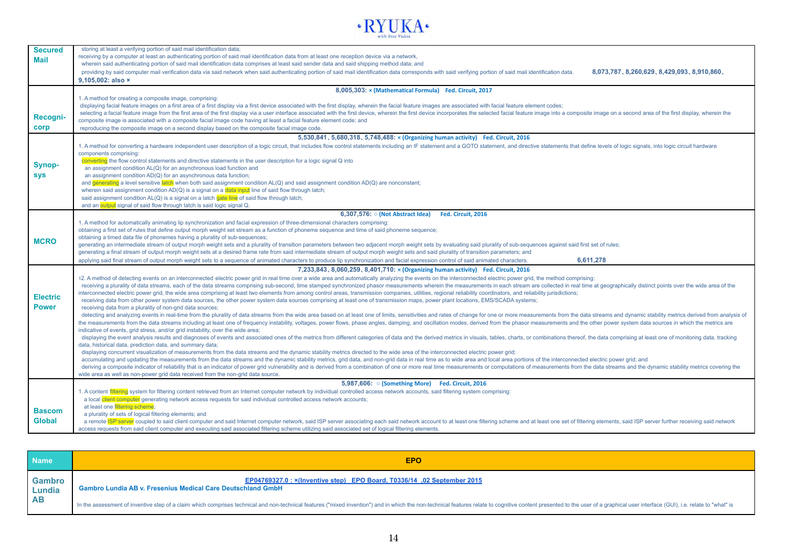

| <b>Secured</b>  | storing at least a verifying portion of said mail identification data;                                                                                                                                                                                                                                                                                                                                                                                           |  |  |  |  |  |
|-----------------|------------------------------------------------------------------------------------------------------------------------------------------------------------------------------------------------------------------------------------------------------------------------------------------------------------------------------------------------------------------------------------------------------------------------------------------------------------------|--|--|--|--|--|
| Mail            | receiving by a computer at least an authenticating portion of said mail identification data from at least one reception device via a network,                                                                                                                                                                                                                                                                                                                    |  |  |  |  |  |
|                 | wherein said authenticating portion of said mail identification data comprises at least said sender data and said shipping method data; and                                                                                                                                                                                                                                                                                                                      |  |  |  |  |  |
|                 | providing by said computer mail verification data via said network when said authenticating portion of said mail identification data corresponds with said verifying portion of said mail identification data.<br>8,073,787, 8,260,629, 8,429,093, 8,910,860,                                                                                                                                                                                                    |  |  |  |  |  |
|                 | 9,105,002: also ×                                                                                                                                                                                                                                                                                                                                                                                                                                                |  |  |  |  |  |
|                 | 8,005,303: x (Mathematical Formula) Fed. Circuit, 2017                                                                                                                                                                                                                                                                                                                                                                                                           |  |  |  |  |  |
|                 | 1. A method for creating a composite image, comprising:                                                                                                                                                                                                                                                                                                                                                                                                          |  |  |  |  |  |
|                 | displaying facial feature images on a first area of a first display via a first device associated with the first display, wherein the facial feature images are associated with facial feature element codes;                                                                                                                                                                                                                                                    |  |  |  |  |  |
|                 | selecting a facial feature image from the first area of the first display via a user interface associated with the first device, wherein the first device incorporates the selected facial feature image into a composite imag                                                                                                                                                                                                                                   |  |  |  |  |  |
| Recogni-        | composite image is associated with a composite facial image code having at least a facial feature element code; and                                                                                                                                                                                                                                                                                                                                              |  |  |  |  |  |
| corp            | reproducing the composite image on a second display based on the composite facial image code.                                                                                                                                                                                                                                                                                                                                                                    |  |  |  |  |  |
|                 | 5,530,841, 5,680,318, 5,748,488: × (Organizing human activity) Fed. Circuit, 2016                                                                                                                                                                                                                                                                                                                                                                                |  |  |  |  |  |
|                 | 1. A method for converting a hardware independent user description of a logic circuit, that includes flow control statements including an IF statement and a GOTO statement, and directive statements that define levels of lo                                                                                                                                                                                                                                   |  |  |  |  |  |
|                 | components comprising:                                                                                                                                                                                                                                                                                                                                                                                                                                           |  |  |  |  |  |
|                 | converting the flow control statements and directive statements in the user description for a logic signal Q into                                                                                                                                                                                                                                                                                                                                                |  |  |  |  |  |
| Synop-          | an assignment condition AL(Q) for an asynchronous load function and                                                                                                                                                                                                                                                                                                                                                                                              |  |  |  |  |  |
| <b>sys</b>      | an assignment condition AD(Q) for an asynchronous data function;                                                                                                                                                                                                                                                                                                                                                                                                 |  |  |  |  |  |
|                 | and generating a level sensitive latch when both said assignment condition AL(Q) and said assignment condition AD(Q) are nonconstant;                                                                                                                                                                                                                                                                                                                            |  |  |  |  |  |
|                 | wherein said assignment condition $AD(Q)$ is a signal on a <b>data input</b> line of said flow through latch;                                                                                                                                                                                                                                                                                                                                                    |  |  |  |  |  |
|                 | said assignment condition $AL(Q)$ is a signal on a latch gate line of said flow through latch;<br>and an output signal of said flow through latch is said logic signal Q.                                                                                                                                                                                                                                                                                        |  |  |  |  |  |
|                 |                                                                                                                                                                                                                                                                                                                                                                                                                                                                  |  |  |  |  |  |
|                 | 6,307,576: ○ (Not Abstract Idea)<br>Fed. Circuit. 2016                                                                                                                                                                                                                                                                                                                                                                                                           |  |  |  |  |  |
|                 | 1. A method for automatically animating lip synchronization and facial expression of three-dimensional characters comprising:                                                                                                                                                                                                                                                                                                                                    |  |  |  |  |  |
|                 | obtaining a first set of rules that define output morph weight set stream as a function of phoneme sequence and time of said phoneme sequence;                                                                                                                                                                                                                                                                                                                   |  |  |  |  |  |
| <b>MCRO</b>     | obtaining a timed data file of phonemes having a plurality of sub-sequences;<br>generating an intermediate stream of output morph weight sets and a plurality of transition parameters between two adjacent morph weight sets by evaluating said plurality of sub-sequences against said first set of rules;                                                                                                                                                     |  |  |  |  |  |
|                 | generating a final stream of output morph weight sets at a desired frame rate from said intermediate stream of output morph weight sets and said plurality of transition parameters; and                                                                                                                                                                                                                                                                         |  |  |  |  |  |
|                 | 6.611.278<br>applying said final stream of output morph weight sets to a sequence of animated characters to produce lip synchronization and facial expression control of said animated characters.                                                                                                                                                                                                                                                               |  |  |  |  |  |
|                 | 7,233,843, 8,060,259, 8,401,710: x (Organizing human activity) Fed. Circuit, 2016                                                                                                                                                                                                                                                                                                                                                                                |  |  |  |  |  |
|                 | 12. A method of detecting events on an interconnected electric power grid in real time over a wide area and automatically analyzing the events on the interconnected electric power grid, the method comprising:                                                                                                                                                                                                                                                 |  |  |  |  |  |
|                 | receiving a plurality of data streams, each of the data streams comprising sub-second, time stamped synchronized phasor measurements wherein the measurements in each stream are collected in real time at geographically dist                                                                                                                                                                                                                                   |  |  |  |  |  |
|                 | interconnected electric power grid, the wide area comprising at least two elements from among control areas, transmission companies, utilities, regional reliability coordinators, and reliability jurisdictions;                                                                                                                                                                                                                                                |  |  |  |  |  |
| <b>Electric</b> | receiving data from other power system data sources, the other power system data sources comprising at least one of transmission maps, power plant locations, EMS/SCADA systems;                                                                                                                                                                                                                                                                                 |  |  |  |  |  |
| <b>Power</b>    | receiving data from a plurality of non-grid data sources;                                                                                                                                                                                                                                                                                                                                                                                                        |  |  |  |  |  |
|                 | detecting and analyzing events in real-time from the plurality of data streams from the wide area based on at least one of limits, sensitivities and rates of change for one or more measurements from the data streams and dy                                                                                                                                                                                                                                   |  |  |  |  |  |
|                 | the measurements from the data streams including at least one of frequency instability, voltages, power flows, phase angles, damping, and oscillation modes, derived from the phasor measurements and the other power system d                                                                                                                                                                                                                                   |  |  |  |  |  |
|                 | indicative of events, grid stress, and/or grid instability, over the wide area;                                                                                                                                                                                                                                                                                                                                                                                  |  |  |  |  |  |
|                 | displaying the event analysis results and diagnoses of events and associated ones of the metrics from different categories of data and the derived metrics in visuals, tables, charts, or combinations thereof, the data compr                                                                                                                                                                                                                                   |  |  |  |  |  |
|                 | data, historical data, prediction data, and summary data;                                                                                                                                                                                                                                                                                                                                                                                                        |  |  |  |  |  |
|                 | displaying concurrent visualization of measurements from the data streams and the dynamic stability metrics directed to the wide area of the interconnected electric power grid;                                                                                                                                                                                                                                                                                 |  |  |  |  |  |
|                 | accumulating and updating the measurements from the data streams and the dynamic stability metrics, grid data, and non-grid data in real time as to wide area and local area portions of the interconnected electric power gri<br>deriving a composite indicator of reliability that is an indicator of power grid vulnerability and is derived from a combination of one or more real time measurements or computations of measurements from the data streams a |  |  |  |  |  |
|                 | wide area as well as non-power grid data received from the non-grid data source.                                                                                                                                                                                                                                                                                                                                                                                 |  |  |  |  |  |
|                 | 5,987,606: • (Something More) Fed. Circuit, 2016                                                                                                                                                                                                                                                                                                                                                                                                                 |  |  |  |  |  |
|                 | 1. A content filtering system for filtering content retrieved from an Internet computer network by individual controlled access network accounts, said filtering system comprising:                                                                                                                                                                                                                                                                              |  |  |  |  |  |
|                 | a local client computer generating network access requests for said individual controlled access network accounts;                                                                                                                                                                                                                                                                                                                                               |  |  |  |  |  |
|                 | at least one filtering scheme:                                                                                                                                                                                                                                                                                                                                                                                                                                   |  |  |  |  |  |
| <b>Bascom</b>   | a plurality of sets of logical filtering elements; and                                                                                                                                                                                                                                                                                                                                                                                                           |  |  |  |  |  |
| <b>Global</b>   | a remote ISP server coupled to said client computer and said Internet computer network, said ISP server associating each said network account to at least one filtering scheme and at least one set of filtering elements, sai                                                                                                                                                                                                                                   |  |  |  |  |  |
|                 | access requests from said client computer and executing said associated filtering scheme utilizing said associated set of logical filtering elements                                                                                                                                                                                                                                                                                                             |  |  |  |  |  |

| <b>Name</b>                          | <b>EPO</b>                                                                                                                                                                                                                     |
|--------------------------------------|--------------------------------------------------------------------------------------------------------------------------------------------------------------------------------------------------------------------------------|
| Gambro<br><b>Lundia</b><br><b>AB</b> | EP04769327.0 : x(Inventive step) EPO Board, T0336/14, 02 September 2015<br><b>Gambro Lundia AB v. Fresenius Medical Care Deutschland GmbH</b>                                                                                  |
|                                      | In the assessment of inventive step of a claim which comprises technical and non-technical features ("mixed invention") and in which the non-technical features relate to cognitive content presented to the user of a graphic |